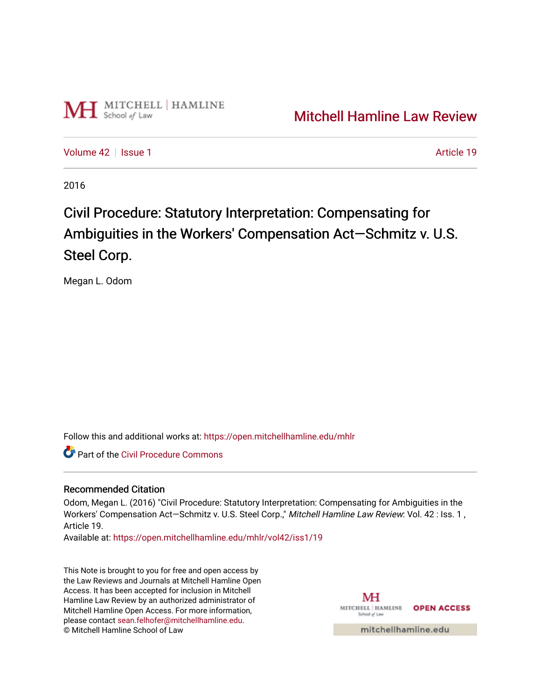

[Volume 42](https://open.mitchellhamline.edu/mhlr/vol42) | [Issue 1](https://open.mitchellhamline.edu/mhlr/vol42/iss1) Article 19

2016

# Civil Procedure: Statutory Interpretation: Compensating for Ambiguities in the Workers' Compensation Act—Schmitz v. U.S. Steel Corp.

Megan L. Odom

Follow this and additional works at: [https://open.mitchellhamline.edu/mhlr](https://open.mitchellhamline.edu/mhlr?utm_source=open.mitchellhamline.edu%2Fmhlr%2Fvol42%2Fiss1%2F19&utm_medium=PDF&utm_campaign=PDFCoverPages) 

**C** Part of the Civil Procedure Commons

## Recommended Citation

Odom, Megan L. (2016) "Civil Procedure: Statutory Interpretation: Compensating for Ambiguities in the Workers' Compensation Act-Schmitz v. U.S. Steel Corp.," Mitchell Hamline Law Review: Vol. 42 : Iss. 1, Article 19.

Available at: [https://open.mitchellhamline.edu/mhlr/vol42/iss1/19](https://open.mitchellhamline.edu/mhlr/vol42/iss1/19?utm_source=open.mitchellhamline.edu%2Fmhlr%2Fvol42%2Fiss1%2F19&utm_medium=PDF&utm_campaign=PDFCoverPages)

This Note is brought to you for free and open access by the Law Reviews and Journals at Mitchell Hamline Open Access. It has been accepted for inclusion in Mitchell Hamline Law Review by an authorized administrator of Mitchell Hamline Open Access. For more information, please contact [sean.felhofer@mitchellhamline.edu.](mailto:sean.felhofer@mitchellhamline.edu) © Mitchell Hamline School of Law

MH MITCHELL | HAMLINE **OPEN ACCESS** School of La

mitchellhamline.edu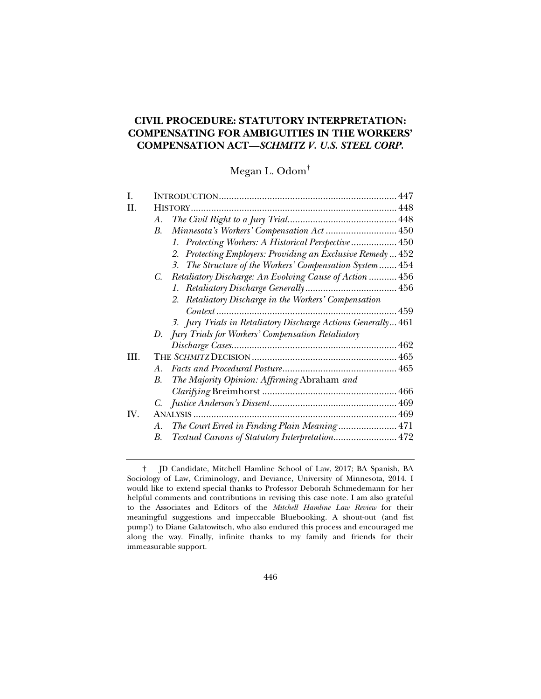# **CIVIL PROCEDURE: STATUTORY INTERPRETATION: COMPENSATING FOR AMBIGUITIES IN THE WORKERS' COMPENSATION ACT—***SCHMITZ V. U.S. STEEL CORP.*

Megan L. Odom†

| L    |                                                               |  |
|------|---------------------------------------------------------------|--|
| II.  |                                                               |  |
|      | А.                                                            |  |
|      | Minnesota's Workers' Compensation Act 450<br>В.               |  |
|      | 1. Protecting Workers: A Historical Perspective  450          |  |
|      | 2. Protecting Employers: Providing an Exclusive Remedy 452    |  |
|      | 3. The Structure of the Workers' Compensation System  454     |  |
|      | Retaliatory Discharge: An Evolving Cause of Action  456<br>C. |  |
|      |                                                               |  |
|      | 2. Retaliatory Discharge in the Workers' Compensation         |  |
|      |                                                               |  |
|      | 3. Jury Trials in Retaliatory Discharge Actions Generally 461 |  |
|      | D. Jury Trials for Workers' Compensation Retaliatory          |  |
|      |                                                               |  |
| III. |                                                               |  |
|      | $A_{-}$                                                       |  |
|      | The Majority Opinion: Affirming Abraham and<br>B.             |  |
|      |                                                               |  |
|      |                                                               |  |
| IV.  |                                                               |  |
|      | The Court Erred in Finding Plain Meaning 471<br>А.            |  |
|      | Textual Canons of Statutory Interpretation 472<br>В.          |  |

 <sup>†</sup> JD Candidate, Mitchell Hamline School of Law, 2017; BA Spanish, BA Sociology of Law, Criminology, and Deviance, University of Minnesota, 2014. I would like to extend special thanks to Professor Deborah Schmedemann for her helpful comments and contributions in revising this case note. I am also grateful to the Associates and Editors of the *Mitchell Hamline Law Review* for their meaningful suggestions and impeccable Bluebooking. A shout-out (and fist pump!) to Diane Galatowitsch, who also endured this process and encouraged me along the way. Finally, infinite thanks to my family and friends for their immeasurable support.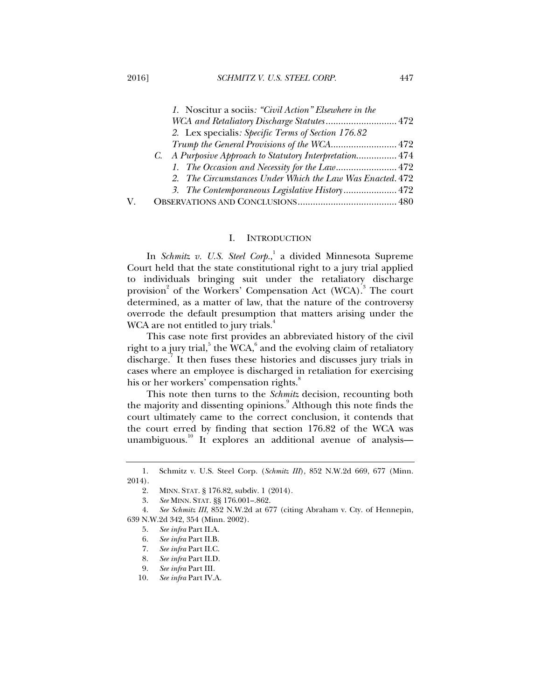| 1. Noscitur a sociis: "Civil Action" Elsewhere in the     |  |
|-----------------------------------------------------------|--|
| WCA and Retaliatory Discharge Statutes 472                |  |
| 2. Lex specialis: Specific Terms of Section 176.82        |  |
|                                                           |  |
| C. A Purposive Approach to Statutory Interpretation 474   |  |
|                                                           |  |
| 2. The Circumstances Under Which the Law Was Enacted. 472 |  |
| 3. The Contemporaneous Legislative History 472            |  |
|                                                           |  |

## I. INTRODUCTION

In *Schmitz v. U.S. Steel Corp.*, 1 a divided Minnesota Supreme Court held that the state constitutional right to a jury trial applied to individuals bringing suit under the retaliatory discharge provision<sup>2</sup> of the Workers' Compensation Act (WCA).<sup>3</sup> The court determined, as a matter of law, that the nature of the controversy overrode the default presumption that matters arising under the WCA are not entitled to jury trials.<sup>4</sup>

This case note first provides an abbreviated history of the civil right to a jury trial, $^5$  the WCA, $^6$  and the evolving claim of retaliatory discharge.<sup>7</sup> It then fuses these histories and discusses jury trials in cases where an employee is discharged in retaliation for exercising his or her workers' compensation rights.<sup>8</sup>

This note then turns to the *Schmitz* decision, recounting both the majority and dissenting opinions.<sup>9</sup> Although this note finds the court ultimately came to the correct conclusion, it contends that the court erred by finding that section 176.82 of the WCA was unambiguous.<sup>10</sup> It explores an additional avenue of analysis—

 <sup>1.</sup> Schmitz v. U.S. Steel Corp. (*Schmitz III*), 852 N.W.2d 669, 677 (Minn. 2014).

 <sup>2.</sup> MINN. STAT. § 176.82, subdiv. 1 (2014).

 <sup>3.</sup> *See* MINN. STAT. §§ 176.001–.862.

 <sup>4.</sup> *See Schmitz III*, 852 N.W.2d at 677 (citing Abraham v. Cty. of Hennepin, 639 N.W.2d 342, 354 (Minn. 2002).

 <sup>5.</sup> *See infra* Part II.A.

 <sup>6.</sup> *See infra* Part II.B.

 <sup>7.</sup> *See infra* Part II.C.

<sup>8.</sup> *See infra* Part II.D.<br>9. *See infra* Part III. 9. *See infra* Part III.

 <sup>10.</sup> *See infra* Part IV.A.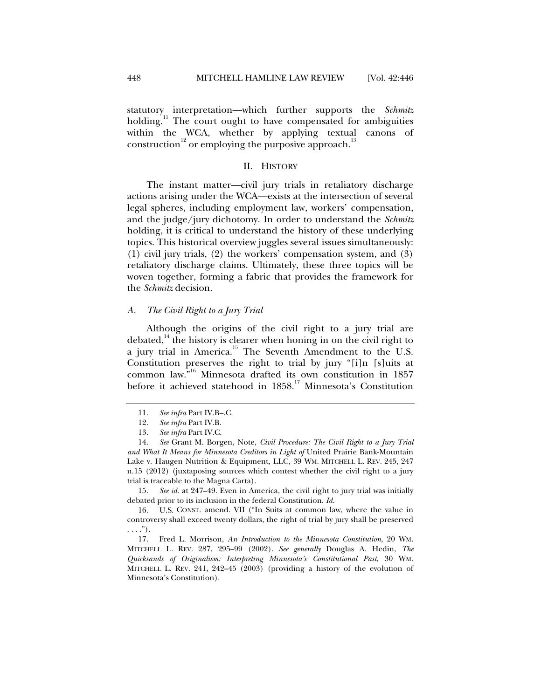statutory interpretation—which further supports the *Schmitz*  holding.<sup>11</sup> The court ought to have compensated for ambiguities within the WCA, whether by applying textual canons of construction<sup>12</sup> or employing the purposive approach.<sup>13</sup>

## II. HISTORY

The instant matter—civil jury trials in retaliatory discharge actions arising under the WCA—exists at the intersection of several legal spheres, including employment law, workers' compensation, and the judge/jury dichotomy. In order to understand the *Schmitz*  holding, it is critical to understand the history of these underlying topics. This historical overview juggles several issues simultaneously: (1) civil jury trials, (2) the workers' compensation system, and (3) retaliatory discharge claims. Ultimately, these three topics will be woven together, forming a fabric that provides the framework for the *Schmitz* decision.

## *A. The Civil Right to a Jury Trial*

Although the origins of the civil right to a jury trial are debated, $14$  the history is clearer when honing in on the civil right to a jury trial in America.<sup>15</sup> The Seventh Amendment to the U.S. Constitution preserves the right to trial by jury "[i]n [s]uits at common law."16 Minnesota drafted its own constitution in 1857 before it achieved statehood in  $1858$ .<sup>17</sup> Minnesota's Constitution

 15. *See id.* at 247–49. Even in America, the civil right to jury trial was initially debated prior to its inclusion in the federal Constitution. *Id.*

 16. U.S. CONST. amend. VII ("In Suits at common law, where the value in controversy shall exceed twenty dollars, the right of trial by jury shall be preserved  $\ldots$ .").

 17. Fred L. Morrison, *An Introduction to the Minnesota Constitution*, 20 WM. MITCHELL L. REV. 287, 295–99 (2002). *See generally* Douglas A. Hedin, *The Quicksands of Originalism: Interpreting Minnesota's Constitutional Past*, 30 WM. MITCHELL L. REV. 241, 242–45 (2003) (providing a history of the evolution of Minnesota's Constitution).

 <sup>11.</sup> *See infra* Part IV.B–.C.

 <sup>12.</sup> *See infra* Part IV.B.

 <sup>13.</sup> *See infra* Part IV.C.

 <sup>14.</sup> *See* Grant M. Borgen, Note, *Civil Procedure: The Civil Right to a Jury Trial and What It Means for Minnesota Creditors in Light of* United Prairie Bank-Mountain Lake v. Haugen Nutrition & Equipment, LLC, 39 WM. MITCHELL L. REV. 245, 247 n.15 (2012) (juxtaposing sources which contest whether the civil right to a jury trial is traceable to the Magna Carta).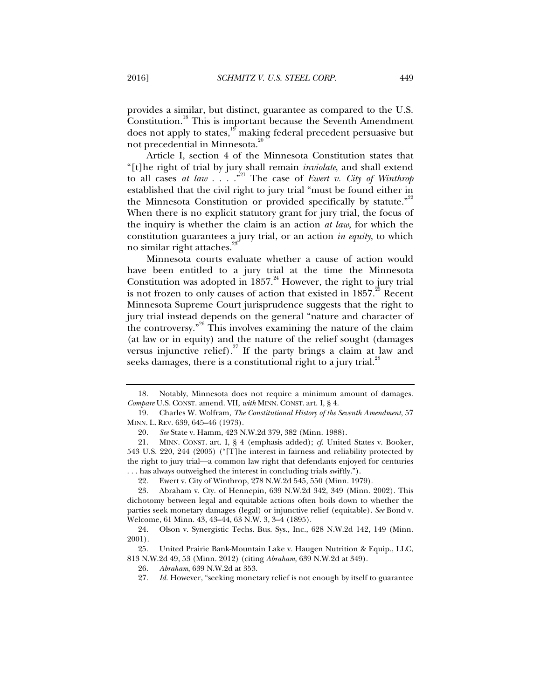provides a similar, but distinct, guarantee as compared to the U.S. Constitution.<sup>18</sup> This is important because the Seventh Amendment does not apply to states,<sup>19</sup> making federal precedent persuasive but not precedential in Minnesota.<sup>20</sup>

Article I, section 4 of the Minnesota Constitution states that "[t]he right of trial by jury shall remain *inviolate*, and shall extend to all cases *at law*  $\ldots$  .<sup>21</sup> The case of *Ewert v. City of Winthrop* established that the civil right to jury trial "must be found either in the Minnesota Constitution or provided specifically by statute."<sup>22</sup> When there is no explicit statutory grant for jury trial, the focus of the inquiry is whether the claim is an action *at law*, for which the constitution guarantees a jury trial, or an action *in equity*, to which no similar right attaches.<sup>2</sup>

Minnesota courts evaluate whether a cause of action would have been entitled to a jury trial at the time the Minnesota Constitution was adopted in  $1857.^{24}$  However, the right to jury trial is not frozen to only causes of action that existed in  $1857$ .<sup>25</sup> Recent Minnesota Supreme Court jurisprudence suggests that the right to jury trial instead depends on the general "nature and character of the controversy."<sup>26</sup> This involves examining the nature of the claim (at law or in equity) and the nature of the relief sought (damages versus injunctive relief).<sup>27</sup> If the party brings a claim at law and seeks damages, there is a constitutional right to a jury trial.<sup>28</sup>

 <sup>18.</sup> Notably, Minnesota does not require a minimum amount of damages. *Compare* U.S. CONST. amend. VII, *with* MINN. CONST. art. I, § 4.

 <sup>19.</sup> Charles W. Wolfram, *The Constitutional History of the Seventh Amendment*, 57 MINN. L. REV. 639, 645–46 (1973).

 <sup>20.</sup> *See* State v. Hamm, 423 N.W.2d 379, 382 (Minn. 1988).

 <sup>21.</sup> MINN. CONST. art. I, § 4 (emphasis added); *cf.* United States v. Booker, 543 U.S. 220, 244 (2005) ("[T]he interest in fairness and reliability protected by the right to jury trial—a common law right that defendants enjoyed for centuries . . . has always outweighed the interest in concluding trials swiftly.").

 <sup>22.</sup> Ewert v. City of Winthrop, 278 N.W.2d 545, 550 (Minn. 1979).

 <sup>23.</sup> Abraham v. Cty. of Hennepin, 639 N.W.2d 342, 349 (Minn. 2002). This dichotomy between legal and equitable actions often boils down to whether the parties seek monetary damages (legal) or injunctive relief (equitable). *See* Bond v. Welcome, 61 Minn. 43, 43–44, 63 N.W. 3, 3–4 (1895).

 <sup>24.</sup> Olson v. Synergistic Techs. Bus. Sys., Inc., 628 N.W.2d 142, 149 (Minn. 2001).

 <sup>25.</sup> United Prairie Bank-Mountain Lake v. Haugen Nutrition & Equip., LLC, 813 N.W.2d 49, 53 (Minn. 2012) (citing *Abraham*, 639 N.W.2d at 349).

 <sup>26.</sup> *Abraham*, 639 N.W.2d at 353.

<sup>27.</sup> *Id.* However, "seeking monetary relief is not enough by itself to guarantee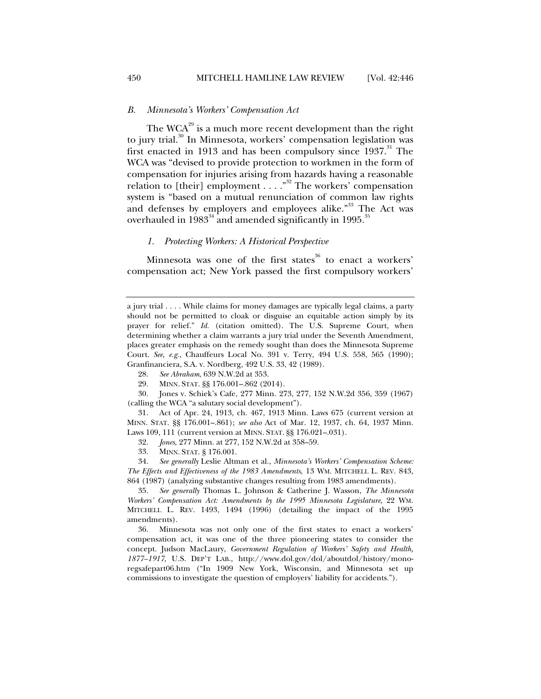## *B. Minnesota's Workers' Compensation Act*

The  $WCA^{29}$  is a much more recent development than the right to jury trial.<sup>30</sup> In Minnesota, workers' compensation legislation was first enacted in 1913 and has been compulsory since  $1937$ .<sup>31</sup> The WCA was "devised to provide protection to workmen in the form of compensation for injuries arising from hazards having a reasonable relation to [their] employment . . . .<sup>332</sup> The workers' compensation system is "based on a mutual renunciation of common law rights and defenses by employers and employees alike."<sup>33</sup> The Act was overhauled in  $1983^{34}$  and amended significantly in 1995.<sup>35</sup>

## *1. Protecting Workers: A Historical Perspective*

Minnesota was one of the first states<sup>36</sup> to enact a workers' compensation act; New York passed the first compulsory workers'

- 28. *See Abraham*, 639 N.W.2d at 353.
- 29. MINN. STAT. §§ 176.001–.862 (2014).

 30. Jones v. Schiek's Cafe, 277 Minn. 273, 277, 152 N.W.2d 356, 359 (1967) (calling the WCA "a salutary social development").

 31. Act of Apr. 24, 1913, ch. 467, 1913 Minn. Laws 675 (current version at MINN. STAT. §§ 176.001–.861); *see also* Act of Mar. 12, 1937, ch. 64, 1937 Minn. Laws 109, 111 (current version at MINN. STAT. §§ 176.021–.031).

32. *Jones*, 277 Minn. at 277, 152 N.W.2d at 358–59.

33. MINN. STAT. § 176.001.

 34. *See generally* Leslie Altman et al., *Minnesota's Workers' Compensation Scheme: The Effects and Effectiveness of the 1983 Amendments*, 13 WM. MITCHELL L. REV. 843, 864 (1987) (analyzing substantive changes resulting from 1983 amendments).

 35. *See generally* Thomas L. Johnson & Catherine J. Wasson, *The Minnesota Workers' Compensation Act: Amendments by the 1995 Minnesota Legislature*, 22 WM. MITCHELL L. REV. 1493, 1494 (1996) (detailing the impact of the 1995 amendments).

 36. Minnesota was not only one of the first states to enact a workers' compensation act, it was one of the three pioneering states to consider the concept. Judson MacLaury, *Government Regulation of Workers' Safety and Health, 1877–1917*, U.S. DEP'T LAB., http://www.dol.gov/dol/aboutdol/history/monoregsafepart06.htm ("In 1909 New York, Wisconsin, and Minnesota set up commissions to investigate the question of employers' liability for accidents.").

a jury trial . . . . While claims for money damages are typically legal claims, a party should not be permitted to cloak or disguise an equitable action simply by its prayer for relief." *Id.* (citation omitted). The U.S. Supreme Court, when determining whether a claim warrants a jury trial under the Seventh Amendment, places greater emphasis on the remedy sought than does the Minnesota Supreme Court. *See, e.g.*, Chauffeurs Local No. 391 v. Terry, 494 U.S. 558, 565 (1990); Granfinanciera, S.A. v. Nordberg, 492 U.S. 33, 42 (1989).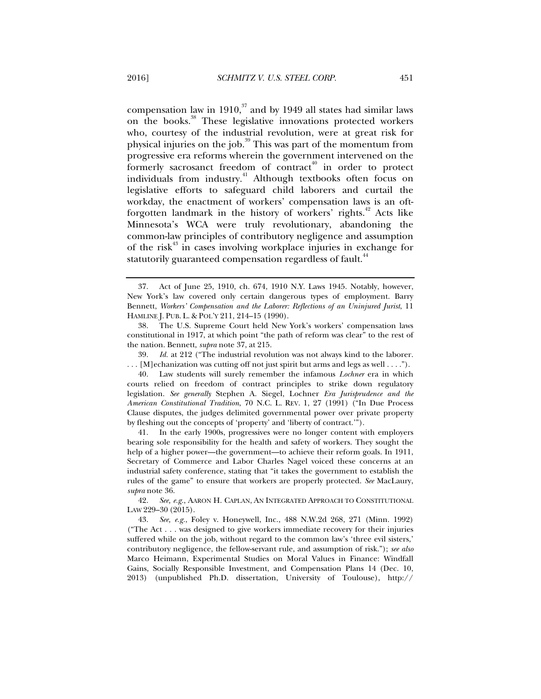compensation law in 1910, $37$  and by 1949 all states had similar laws on the books.<sup>38</sup> These legislative innovations protected workers who, courtesy of the industrial revolution, were at great risk for physical injuries on the job.<sup>39</sup> This was part of the momentum from progressive era reforms wherein the government intervened on the formerly sacrosanct freedom of contract<sup>40</sup> in order to protect individuals from industry.<sup>41</sup> Although textbooks often focus on legislative efforts to safeguard child laborers and curtail the workday, the enactment of workers' compensation laws is an oftforgotten landmark in the history of workers' rights.<sup>42</sup> Acts like Minnesota's WCA were truly revolutionary, abandoning the common-law principles of contributory negligence and assumption of the risk<sup>43</sup> in cases involving workplace injuries in exchange for statutorily guaranteed compensation regardless of fault.<sup>44</sup>

 39. *Id.* at 212 ("The industrial revolution was not always kind to the laborer. . . . [M]echanization was cutting off not just spirit but arms and legs as well . . . .").

 <sup>37.</sup> Act of June 25, 1910, ch. 674, 1910 N.Y. Laws 1945. Notably, however, New York's law covered only certain dangerous types of employment. Barry Bennett, *Workers' Compensation and the Laborer: Reflections of an Uninjured Jurist*, 11 HAMLINE J. PUB. L. & POL'Y 211, 214–15 (1990).

 <sup>38.</sup> The U.S. Supreme Court held New York's workers' compensation laws constitutional in 1917, at which point "the path of reform was clear" to the rest of the nation. Bennett, *supra* note 37, at 215.

 <sup>40.</sup> Law students will surely remember the infamous *Lochner* era in which courts relied on freedom of contract principles to strike down regulatory legislation. *See generally* Stephen A. Siegel, Lochner *Era Jurisprudence and the American Constitutional Tradition*, 70 N.C. L. REV. 1, 27 (1991) ("In Due Process Clause disputes, the judges delimited governmental power over private property by fleshing out the concepts of 'property' and 'liberty of contract.'").

 <sup>41.</sup> In the early 1900s, progressives were no longer content with employers bearing sole responsibility for the health and safety of workers. They sought the help of a higher power—the government—to achieve their reform goals. In 1911, Secretary of Commerce and Labor Charles Nagel voiced these concerns at an industrial safety conference, stating that "it takes the government to establish the rules of the game" to ensure that workers are properly protected. *See* MacLaury, *supra* note 36.

 <sup>42.</sup> *See, e.g.*, AARON H. CAPLAN, AN INTEGRATED APPROACH TO CONSTITUTIONAL LAW 229–30 (2015).

 <sup>43.</sup> *See, e.g.*, Foley v. Honeywell, Inc., 488 N.W.2d 268, 271 (Minn. 1992) ("The Act . . . was designed to give workers immediate recovery for their injuries suffered while on the job, without regard to the common law's 'three evil sisters,' contributory negligence, the fellow-servant rule, and assumption of risk."); *see also*  Marco Heimann, Experimental Studies on Moral Values in Finance: Windfall Gains, Socially Responsible Investment, and Compensation Plans 14 (Dec. 10, 2013) (unpublished Ph.D. dissertation, University of Toulouse), http://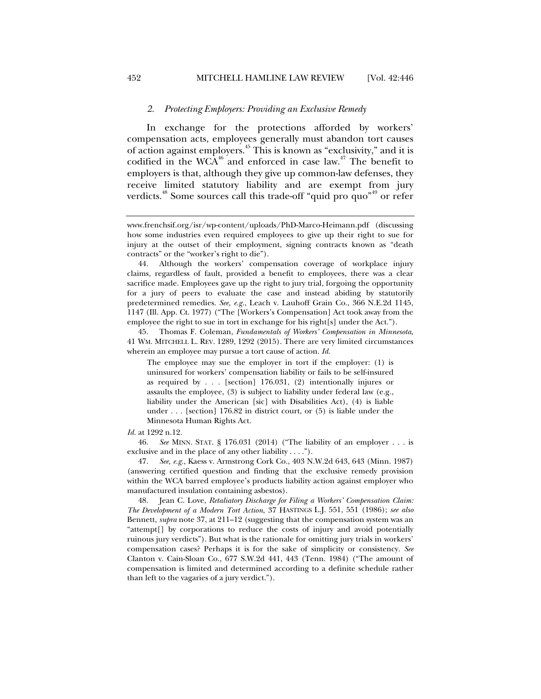# *2. Protecting Employers: Providing an Exclusive Remedy*

In exchange for the protections afforded by workers' compensation acts, employees generally must abandon tort causes of action against employers.45 This is known as "exclusivity," and it is codified in the WCA $^{46}$  and enforced in case law.<sup>47</sup> The benefit to employers is that, although they give up common-law defenses, they receive limited statutory liability and are exempt from jury verdicts.<sup>48</sup> Some sources call this trade-off "quid pro quo"<sup>49</sup> or refer

 45. Thomas F. Coleman, *Fundamentals of Workers' Compensation in Minnesota*, 41 WM. MITCHELL L. REV. 1289, 1292 (2015). There are very limited circumstances wherein an employee may pursue a tort cause of action. *Id.*

The employee may sue the employer in tort if the employer: (1) is uninsured for workers' compensation liability or fails to be self-insured as required by . . . [section] 176.031, (2) intentionally injures or assaults the employee, (3) is subject to liability under federal law (e.g., liability under the American [sic] with Disabilities Act), (4) is liable under . . . [section] 176.82 in district court, or (5) is liable under the Minnesota Human Rights Act.

*Id.* at 1292 n.12.

 46. *See* MINN. STAT. § 176.031 (2014) ("The liability of an employer . . . is exclusive and in the place of any other liability . . . .").

 47. *See, e.g.*, Kaess v. Armstrong Cork Co., 403 N.W.2d 643, 643 (Minn. 1987) (answering certified question and finding that the exclusive remedy provision within the WCA barred employee's products liability action against employer who manufactured insulation containing asbestos).

 48. Jean C. Love, *Retaliatory Discharge for Filing a Workers' Compensation Claim: The Development of a Modern Tort Action*, 37 HASTINGS L.J. 551, 551 (1986); *see also*  Bennett, *supra* note 37, at 211–12 (suggesting that the compensation system was an "attempt[] by corporations to reduce the costs of injury and avoid potentially ruinous jury verdicts"). But what is the rationale for omitting jury trials in workers' compensation cases? Perhaps it is for the sake of simplicity or consistency. *See*  Clanton v. Cain-Sloan Co., 677 S.W.2d 441, 443 (Tenn. 1984) ("The amount of compensation is limited and determined according to a definite schedule rather than left to the vagaries of a jury verdict.").

www.frenchsif.org/isr/wp-content/uploads/PhD-Marco-Heimann.pdf (discussing how some industries even required employees to give up their right to sue for injury at the outset of their employment, signing contracts known as "death contracts" or the "worker's right to die").

 <sup>44.</sup> Although the workers' compensation coverage of workplace injury claims, regardless of fault, provided a benefit to employees, there was a clear sacrifice made. Employees gave up the right to jury trial, forgoing the opportunity for a jury of peers to evaluate the case and instead abiding by statutorily predetermined remedies. *See, e.g.*, Leach v. Lauhoff Grain Co., 366 N.E.2d 1145, 1147 (Ill. App. Ct. 1977) ("The [Workers's Compensation] Act took away from the employee the right to sue in tort in exchange for his right[s] under the Act.").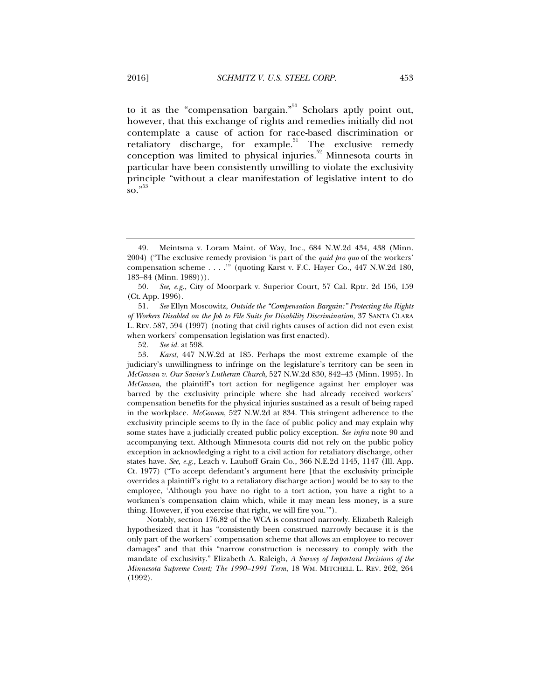to it as the "compensation bargain."<sup>50</sup> Scholars aptly point out, however, that this exchange of rights and remedies initially did not contemplate a cause of action for race-based discrimination or retaliatory discharge, for example.<sup>51</sup> The exclusive remedy conception was limited to physical injuries.<sup>52</sup> Minnesota courts in particular have been consistently unwilling to violate the exclusivity principle "without a clear manifestation of legislative intent to do  $\mathrm{so.}^{\mathbf{53}}$ 

 51. *See* Ellyn Moscowitz, *Outside the "Compensation Bargain:" Protecting the Rights of Workers Disabled on the Job to File Suits for Disability Discrimination*, 37 SANTA CLARA L. REV. 587, 594 (1997) (noting that civil rights causes of action did not even exist when workers' compensation legislation was first enacted).

52. *See id.* at 598.

 53. *Karst*, 447 N.W.2d at 185. Perhaps the most extreme example of the judiciary's unwillingness to infringe on the legislature's territory can be seen in *McGowan v. Our Savior's Lutheran Church*, 527 N.W.2d 830, 842–43 (Minn. 1995). In *McGowan*, the plaintiff's tort action for negligence against her employer was barred by the exclusivity principle where she had already received workers' compensation benefits for the physical injuries sustained as a result of being raped in the workplace. *McGowan*, 527 N.W.2d at 834. This stringent adherence to the exclusivity principle seems to fly in the face of public policy and may explain why some states have a judicially created public policy exception. *See infra* note 90 and accompanying text. Although Minnesota courts did not rely on the public policy exception in acknowledging a right to a civil action for retaliatory discharge, other states have. *See, e.g.*, Leach v. Lauhoff Grain Co., 366 N.E.2d 1145, 1147 (Ill. App. Ct. 1977) ("To accept defendant's argument here [that the exclusivity principle overrides a plaintiff's right to a retaliatory discharge action] would be to say to the employee, 'Although you have no right to a tort action, you have a right to a workmen's compensation claim which, while it may mean less money, is a sure thing. However, if you exercise that right, we will fire you.'").

Notably, section 176.82 of the WCA is construed narrowly. Elizabeth Raleigh hypothesized that it has "consistently been construed narrowly because it is the only part of the workers' compensation scheme that allows an employee to recover damages" and that this "narrow construction is necessary to comply with the mandate of exclusivity." Elizabeth A. Raleigh, *A Survey of Important Decisions of the Minnesota Supreme Court; The 1990–1991 Term*, 18 WM. MITCHELL L. REV. 262, 264 (1992).

 <sup>49.</sup> Meintsma v. Loram Maint. of Way, Inc., 684 N.W.2d 434, 438 (Minn. 2004) ("The exclusive remedy provision 'is part of the *quid pro quo* of the workers' compensation scheme . . . .'" (quoting Karst v. F.C. Hayer Co., 447 N.W.2d 180, 183–84 (Minn. 1989))).

 <sup>50.</sup> *See, e.g.*, City of Moorpark v. Superior Court, 57 Cal. Rptr. 2d 156, 159 (Ct. App. 1996).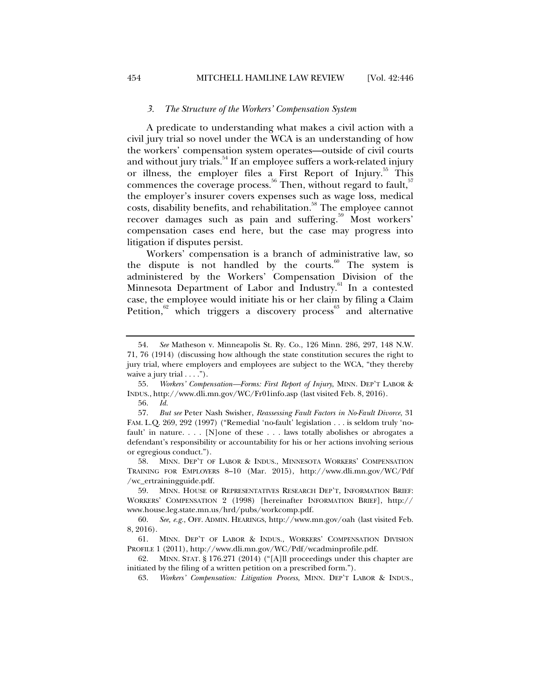#### *3. The Structure of the Workers' Compensation System*

A predicate to understanding what makes a civil action with a civil jury trial so novel under the WCA is an understanding of how the workers' compensation system operates—outside of civil courts and without jury trials.<sup>54</sup> If an employee suffers a work-related injury or illness, the employer files a First Report of Injury.<sup>55</sup> This commences the coverage process.<sup>56</sup> Then, without regard to fault,<sup>57</sup> the employer's insurer covers expenses such as wage loss, medical costs, disability benefits, and rehabilitation.<sup>58</sup> The employee cannot recover damages such as pain and suffering.<sup>59</sup> Most workers' compensation cases end here, but the case may progress into litigation if disputes persist.

Workers' compensation is a branch of administrative law, so the dispute is not handled by the courts. $60$  The system is administered by the Workers' Compensation Division of the Minnesota Department of Labor and Industry.<sup>61</sup> In a contested case, the employee would initiate his or her claim by filing a Claim Petition, $62$  which triggers a discovery process<sup>63</sup> and alternative

 <sup>54.</sup> *See* Matheson v. Minneapolis St. Ry. Co., 126 Minn. 286, 297, 148 N.W. 71, 76 (1914) (discussing how although the state constitution secures the right to jury trial, where employers and employees are subject to the WCA, "they thereby waive a jury trial  $\dots$ ").

 <sup>55.</sup> *Workers' Compensation—Forms: First Report of Injury*, MINN. DEP'T LABOR & INDUS., http://www.dli.mn.gov/WC/Fr01info.asp (last visited Feb. 8, 2016).

 <sup>56.</sup> *Id.* 

 <sup>57.</sup> *But see* Peter Nash Swisher, *Reassessing Fault Factors in No-Fault Divorce*, 31 FAM. L.Q. 269, 292 (1997) ("Remedial 'no-fault' legislation . . . is seldom truly 'nofault' in nature. . . . [N]one of these . . . laws totally abolishes or abrogates a defendant's responsibility or accountability for his or her actions involving serious or egregious conduct.").

 <sup>58.</sup> MINN. DEP'T OF LABOR & INDUS., MINNESOTA WORKERS' COMPENSATION TRAINING FOR EMPLOYERS 8–10 (Mar. 2015), http://www.dli.mn.gov/WC/Pdf /wc\_ertrainingguide.pdf.

 <sup>59.</sup> MINN. HOUSE OF REPRESENTATIVES RESEARCH DEP'T, INFORMATION BRIEF: WORKERS' COMPENSATION 2 (1998) [hereinafter INFORMATION BRIEF], http:// www.house.leg.state.mn.us/hrd/pubs/workcomp.pdf.

 <sup>60.</sup> *See, e.g.*, OFF. ADMIN. HEARINGS, http://www.mn.gov/oah (last visited Feb. 8, 2016).

 <sup>61.</sup> MINN. DEP'T OF LABOR & INDUS., WORKERS' COMPENSATION DIVISION PROFILE 1 (2011), http://www.dli.mn.gov/WC/Pdf/wcadminprofile.pdf.

 <sup>62.</sup> MINN. STAT. § 176.271 (2014) ("[A]ll proceedings under this chapter are initiated by the filing of a written petition on a prescribed form.").

 <sup>63.</sup> *Workers' Compensation: Litigation Process*, MINN. DEP'T LABOR & INDUS.,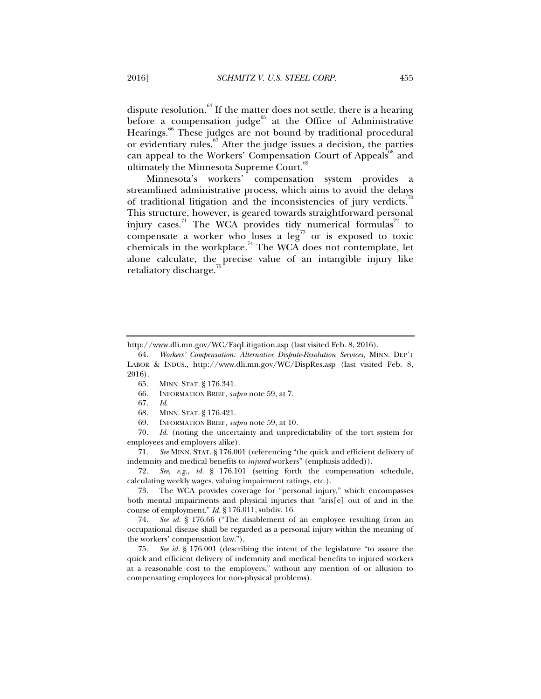dispute resolution. $64$  If the matter does not settle, there is a hearing before a compensation judge $65$  at the Office of Administrative Hearings.<sup>66</sup> These judges are not bound by traditional procedural or evidentiary rules.67 After the judge issues a decision, the parties can appeal to the Workers' Compensation Court of Appeals<sup>68</sup> and ultimately the Minnesota Supreme Court.<sup>6</sup>

Minnesota's workers' compensation system provides a streamlined administrative process, which aims to avoid the delays of traditional litigation and the inconsistencies of jury verdicts.<sup>7</sup> This structure, however, is geared towards straightforward personal injury cases.<sup>71</sup> The WCA provides tidy numerical formulas<sup>72</sup> to compensate a worker who loses a  $leg^{73}$  or is exposed to toxic chemicals in the workplace.<sup>74</sup> The WCA does not contemplate, let alone calculate, the precise value of an intangible injury like retaliatory discharge.

 71. *See* MINN. STAT. § 176.001 (referencing "the quick and efficient delivery of indemnity and medical benefits to *injured* workers" (emphasis added)).

 72. *See, e.g.*, *id.* § 176.101 (setting forth the compensation schedule, calculating weekly wages, valuing impairment ratings, etc.).

 73. The WCA provides coverage for "personal injury," which encompasses both mental impairments and physical injuries that "aris[e] out of and in the course of employment." *Id.* § 176.011, subdiv. 16.

 74. *See id.* § 176.66 ("The disablement of an employee resulting from an occupational disease shall be regarded as a personal injury within the meaning of the workers' compensation law.").

 75. *See id.* § 176.001 (describing the intent of the legislature "to assure the quick and efficient delivery of indemnity and medical benefits to injured workers at a reasonable cost to the employers," without any mention of or allusion to compensating employees for non-physical problems).

http://www.dli.mn.gov/WC/FaqLitigation.asp (last visited Feb. 8, 2016).

 <sup>64.</sup> *Workers' Compensation: Alternative Dispute-Resolution Services,* MINN. DEP'T LABOR & INDUS., http://www.dli.mn.gov/WC/DispRes.asp (last visited Feb. 8, 2016).

 <sup>65.</sup> MINN. STAT. § 176.341.

 <sup>66.</sup> INFORMATION BRIEF, *supra* note 59, at 7.

 <sup>67.</sup> *Id*.

 <sup>68.</sup> MINN. STAT. § 176.421.

 <sup>69.</sup> INFORMATION BRIEF*, supra* note 59, at 10*.* 

 <sup>70.</sup> *Id.* (noting the uncertainty and unpredictability of the tort system for employees and employers alike).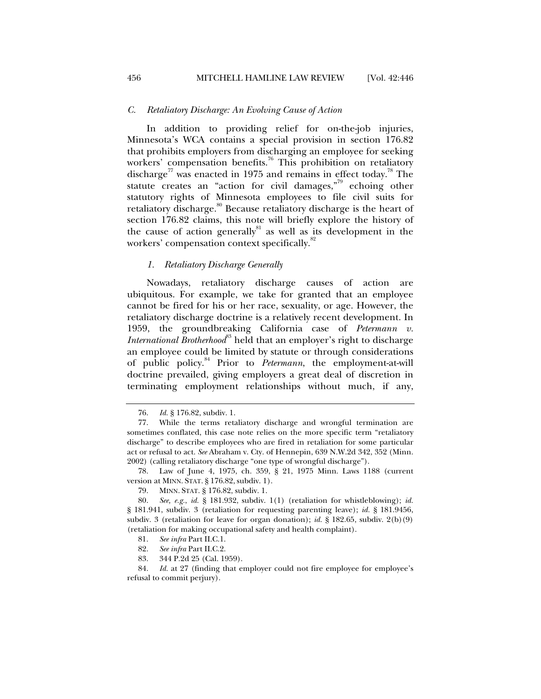#### *C. Retaliatory Discharge: An Evolving Cause of Action*

In addition to providing relief for on-the-job injuries, Minnesota's WCA contains a special provision in section 176.82 that prohibits employers from discharging an employee for seeking workers' compensation benefits.<sup>76</sup> This prohibition on retaliatory discharge<sup>77</sup> was enacted in 1975 and remains in effect today.<sup>78</sup> The statute creates an "action for civil damages,"<sup>79</sup> echoing other statutory rights of Minnesota employees to file civil suits for retaliatory discharge.<sup>80</sup> Because retaliatory discharge is the heart of section 176.82 claims, this note will briefly explore the history of the cause of action generally $s<sup>81</sup>$  as well as its development in the workers' compensation context specifically.<sup>82</sup>

## *1. Retaliatory Discharge Generally*

Nowadays, retaliatory discharge causes of action are ubiquitous. For example, we take for granted that an employee cannot be fired for his or her race, sexuality, or age. However, the retaliatory discharge doctrine is a relatively recent development. In 1959, the groundbreaking California case of *Petermann v. International Brotherhood*<sup>83</sup> held that an employer's right to discharge an employee could be limited by statute or through considerations of public policy.84 Prior to *Petermann*, the employment-at-will doctrine prevailed, giving employers a great deal of discretion in terminating employment relationships without much, if any,

84. *Id.* at 27 (finding that employer could not fire employee for employee's refusal to commit perjury).

 <sup>76.</sup> *Id.* § 176.82, subdiv. 1.

 <sup>77.</sup> While the terms retaliatory discharge and wrongful termination are sometimes conflated, this case note relies on the more specific term "retaliatory discharge" to describe employees who are fired in retaliation for some particular act or refusal to act. *See* Abraham v. Cty. of Hennepin, 639 N.W.2d 342, 352 (Minn. 2002) (calling retaliatory discharge "one type of wrongful discharge").

 <sup>78.</sup> Law of June 4, 1975, ch. 359, § 21, 1975 Minn. Laws 1188 (current version at MINN. STAT. § 176.82, subdiv. 1).

 <sup>79.</sup> MINN. STAT. § 176.82, subdiv. 1.

 <sup>80.</sup> *See, e.g.*, *id.* § 181.932, subdiv. 1(1) (retaliation for whistleblowing); *id.*  § 181.941, subdiv. 3 (retaliation for requesting parenting leave); *id.* § 181.9456, subdiv. 3 (retaliation for leave for organ donation); *id.* § 182.65, subdiv. 2(b)(9) (retaliation for making occupational safety and health complaint).

 <sup>81.</sup> *See infra* Part II.C.1.

 <sup>82.</sup> *See infra* Part II.C.2.

 <sup>83. 344</sup> P.2d 25 (Cal. 1959).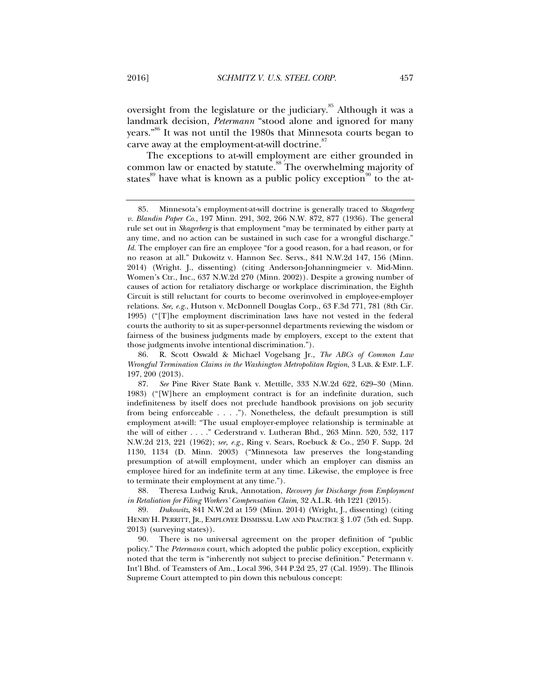oversight from the legislature or the judiciary.<sup>85</sup> Although it was a landmark decision, *Petermann* "stood alone and ignored for many years."86 It was not until the 1980s that Minnesota courts began to carve away at the employment-at-will doctrine.<sup>87</sup>

The exceptions to at-will employment are either grounded in common law or enacted by statute.<sup>88</sup> The overwhelming majority of states<sup>89</sup> have what is known as a public policy exception<sup>90</sup> to the at-

 <sup>85.</sup> Minnesota's employment-at-will doctrine is generally traced to *Skagerberg v. Blandin Paper Co.*, 197 Minn. 291, 302, 266 N.W. 872, 877 (1936). The general rule set out in *Skagerberg* is that employment "may be terminated by either party at any time, and no action can be sustained in such case for a wrongful discharge." *Id.* The employer can fire an employee "for a good reason, for a bad reason, or for no reason at all." Dukowitz v. Hannon Sec. Servs., 841 N.W.2d 147, 156 (Minn. 2014) (Wright. J., dissenting) (citing Anderson-Johanningmeier v. Mid-Minn. Women's Ctr., Inc., 637 N.W.2d 270 (Minn. 2002)). Despite a growing number of causes of action for retaliatory discharge or workplace discrimination, the Eighth Circuit is still reluctant for courts to become overinvolved in employee-employer relations. *See, e.g.*, Hutson v. McDonnell Douglas Corp., 63 F.3d 771, 781 (8th Cir. 1995) ("[T]he employment discrimination laws have not vested in the federal courts the authority to sit as super-personnel departments reviewing the wisdom or fairness of the business judgments made by employers, except to the extent that those judgments involve intentional discrimination.").

 <sup>86.</sup> R. Scott Oswald & Michael Vogelsang Jr., *The ABCs of Common Law Wrongful Termination Claims in the Washington Metropolitan Region*, 3 LAB. & EMP. L.F. 197, 200 (2013).

 <sup>87.</sup> *See* Pine River State Bank v. Mettille, 333 N.W.2d 622, 629–30 (Minn. 1983) ("[W]here an employment contract is for an indefinite duration, such indefiniteness by itself does not preclude handbook provisions on job security from being enforceable . . . ."). Nonetheless, the default presumption is still employment at-will: "The usual employer-employee relationship is terminable at the will of either . . . ." Cederstrand v. Lutheran Bhd., 263 Minn. 520, 532, 117 N.W.2d 213, 221 (1962); *see, e.g.*, Ring v. Sears, Roebuck & Co., 250 F. Supp. 2d 1130, 1134 (D. Minn. 2003) ("Minnesota law preserves the long-standing presumption of at-will employment, under which an employer can dismiss an employee hired for an indefinite term at any time. Likewise, the employee is free to terminate their employment at any time.").

 <sup>88.</sup> Theresa Ludwig Kruk, Annotation, *Recovery for Discharge from Employment in Retaliation for Filing Workers' Compensation Claim*, 32 A.L.R. 4th 1221 (2015).

 <sup>89.</sup> *Dukowitz*, 841 N.W.2d at 159 (Minn. 2014) (Wright, J., dissenting) (citing HENRY H. PERRITT, JR., EMPLOYEE DISMISSAL LAW AND PRACTICE § 1.07 (5th ed. Supp. 2013) (surveying states)).

 <sup>90.</sup> There is no universal agreement on the proper definition of "public policy." The *Petermann* court, which adopted the public policy exception, explicitly noted that the term is "inherently not subject to precise definition." Petermann v. Int'l Bhd. of Teamsters of Am., Local 396, 344 P.2d 25, 27 (Cal. 1959). The Illinois Supreme Court attempted to pin down this nebulous concept: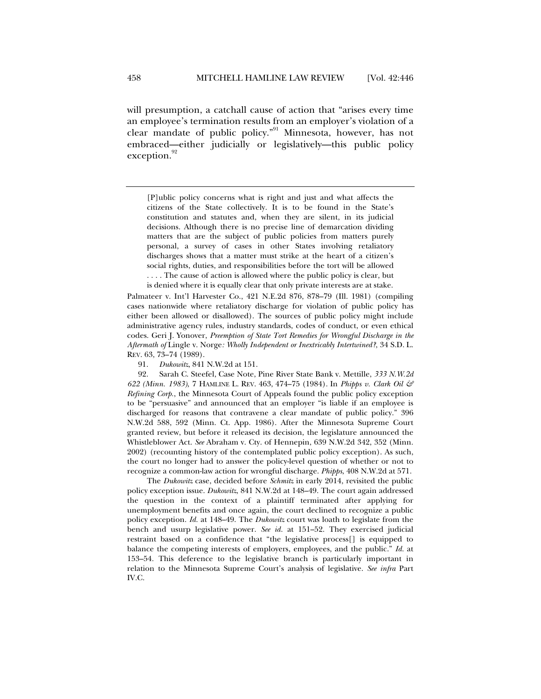will presumption, a catchall cause of action that "arises every time an employee's termination results from an employer's violation of a clear mandate of public policy."91 Minnesota, however, has not embraced—either judicially or legislatively—this public policy exception.

[P]ublic policy concerns what is right and just and what affects the citizens of the State collectively. It is to be found in the State's constitution and statutes and, when they are silent, in its judicial decisions. Although there is no precise line of demarcation dividing matters that are the subject of public policies from matters purely personal, a survey of cases in other States involving retaliatory discharges shows that a matter must strike at the heart of a citizen's social rights, duties, and responsibilities before the tort will be allowed . . . . The cause of action is allowed where the public policy is clear, but is denied where it is equally clear that only private interests are at stake.

Palmateer v. Int'l Harvester Co., 421 N.E.2d 876, 878–79 (Ill. 1981) (compiling cases nationwide where retaliatory discharge for violation of public policy has either been allowed or disallowed). The sources of public policy might include administrative agency rules, industry standards, codes of conduct, or even ethical codes. Geri J. Yonover, *Preemption of State Tort Remedies for Wrongful Discharge in the Aftermath of* Lingle v. Norge*: Wholly Independent or Inextricably Intertwined?*, 34 S.D. L. REV. 63, 73–74 (1989).

91. *Dukowitz*, 841 N.W.2d at 151.

 92. Sarah C. Steefel, Case Note, Pine River State Bank v. Mettille, *333 N.W.2d 622 (Minn. 1983)*, 7 HAMLINE L. REV. 463, 474–75 (1984). In *Phipps v. Clark Oil & Refining Corp.*, the Minnesota Court of Appeals found the public policy exception to be "persuasive" and announced that an employer "is liable if an employee is discharged for reasons that contravene a clear mandate of public policy." 396 N.W.2d 588, 592 (Minn. Ct. App. 1986). After the Minnesota Supreme Court granted review, but before it released its decision, the legislature announced the Whistleblower Act. *See* Abraham v. Cty. of Hennepin, 639 N.W.2d 342, 352 (Minn. 2002) (recounting history of the contemplated public policy exception). As such, the court no longer had to answer the policy-level question of whether or not to recognize a common-law action for wrongful discharge. *Phipps*, 408 N.W.2d at 571.

The *Dukowitz* case, decided before *Schmitz* in early 2014, revisited the public policy exception issue. *Dukowitz*, 841 N.W.2d at 148–49. The court again addressed the question in the context of a plaintiff terminated after applying for unemployment benefits and once again, the court declined to recognize a public policy exception. *Id.* at 148–49. The *Dukowitz* court was loath to legislate from the bench and usurp legislative power. *See id.* at 151–52. They exercised judicial restraint based on a confidence that "the legislative process[] is equipped to balance the competing interests of employers, employees, and the public." *Id.* at 153–54. This deference to the legislative branch is particularly important in relation to the Minnesota Supreme Court's analysis of legislative. *See infra* Part IV.C.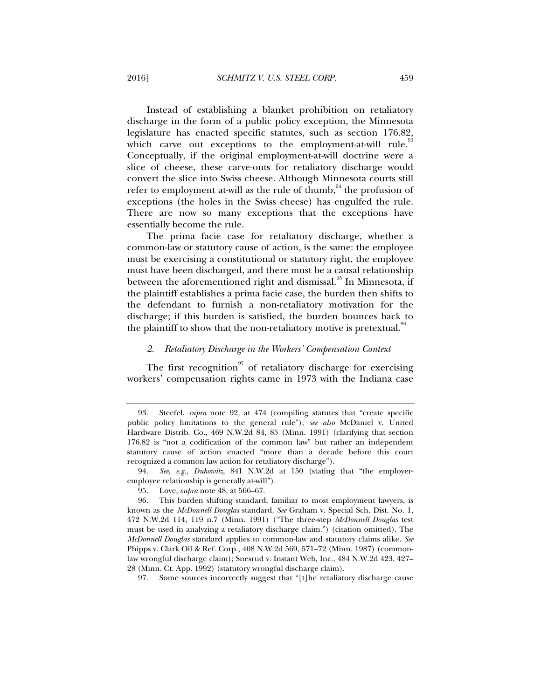Instead of establishing a blanket prohibition on retaliatory discharge in the form of a public policy exception, the Minnesota legislature has enacted specific statutes, such as section 176.82, which carve out exceptions to the employment-at-will rule.<sup>33</sup> Conceptually, if the original employment-at-will doctrine were a slice of cheese, these carve-outs for retaliatory discharge would convert the slice into Swiss cheese. Although Minnesota courts still refer to employment at-will as the rule of thumb,  $^{94}$  the profusion of exceptions (the holes in the Swiss cheese) has engulfed the rule. There are now so many exceptions that the exceptions have essentially become the rule.

The prima facie case for retaliatory discharge, whether a common-law or statutory cause of action, is the same: the employee must be exercising a constitutional or statutory right, the employee must have been discharged, and there must be a causal relationship between the aforementioned right and dismissal.<sup>95</sup> In Minnesota, if the plaintiff establishes a prima facie case, the burden then shifts to the defendant to furnish a non-retaliatory motivation for the discharge; if this burden is satisfied, the burden bounces back to the plaintiff to show that the non-retaliatory motive is pretextual.<sup>96</sup>

## *2. Retaliatory Discharge in the Workers' Compensation Context*

The first recognition<sup>97</sup> of retaliatory discharge for exercising workers' compensation rights came in 1973 with the Indiana case

 <sup>93.</sup> Steefel, *supra* note 92, at 474 (compiling statutes that "create specific public policy limitations to the general rule"); *see also* McDaniel v. United Hardware Distrib. Co., 469 N.W.2d 84, 85 (Minn. 1991) (clarifying that section 176.82 is "not a codification of the common law" but rather an independent statutory cause of action enacted "more than a decade before this court recognized a common law action for retaliatory discharge").

 <sup>94.</sup> *See, e.g.*, *Dukowitz*, 841 N.W.2d at 150 (stating that "the employeremployee relationship is generally at-will").

 <sup>95.</sup> Love, *supra* note 48, at 566–67.

 <sup>96.</sup> This burden shifting standard, familiar to most employment lawyers, is known as the *McDonnell Douglas* standard. *See* Graham v. Special Sch. Dist. No. 1, 472 N.W.2d 114, 119 n.7 (Minn. 1991) ("The three-step *McDonnell Douglas* test must be used in analyzing a retaliatory discharge claim.") (citation omitted). The *McDonnell Douglas* standard applies to common-law and statutory claims alike. *See*  Phipps v. Clark Oil & Ref. Corp., 408 N.W.2d 569, 571–72 (Minn. 1987) (commonlaw wrongful discharge claim); Snesrud v. Instant Web, Inc., 484 N.W.2d 423, 427– 28 (Minn. Ct. App. 1992) (statutory wrongful discharge claim).

 <sup>97.</sup> Some sources incorrectly suggest that "[t]he retaliatory discharge cause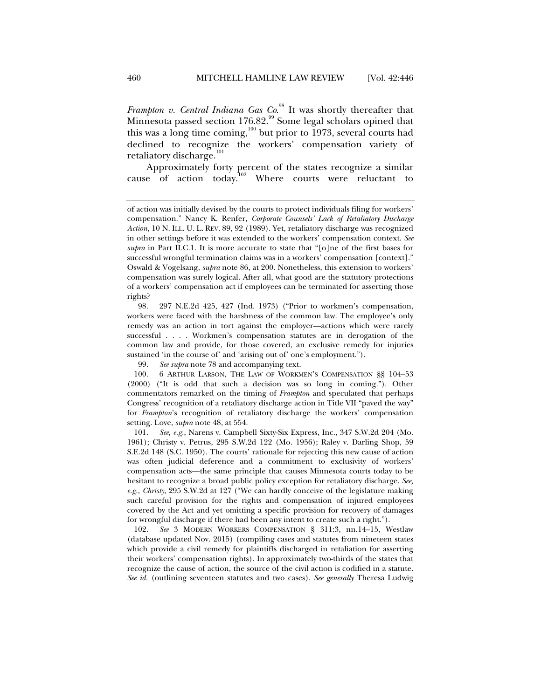*Frampton v. Central Indiana Gas Co.*<sup>98</sup> It was shortly thereafter that Minnesota passed section 176.82.<sup>99</sup> Some legal scholars opined that this was a long time coming,<sup>100</sup> but prior to 1973, several courts had declined to recognize the workers' compensation variety of retaliatory discharge.<sup>101</sup>

Approximately forty percent of the states recognize a similar cause of action today.<sup>102</sup> Where courts were reluctant to

 98. 297 N.E.2d 425, 427 (Ind. 1973) ("Prior to workmen's compensation, workers were faced with the harshness of the common law. The employee's only remedy was an action in tort against the employer—actions which were rarely successful . . . . Workmen's compensation statutes are in derogation of the common law and provide, for those covered, an exclusive remedy for injuries sustained 'in the course of' and 'arising out of' one's employment.").

99. *See supra* note 78 and accompanying text.

 100. 6 ARTHUR LARSON, THE LAW OF WORKMEN'S COMPENSATION §§ 104–53 (2000) ("It is odd that such a decision was so long in coming."). Other commentators remarked on the timing of *Frampton* and speculated that perhaps Congress' recognition of a retaliatory discharge action in Title VII "paved the way" for *Frampton*'s recognition of retaliatory discharge the workers' compensation setting. Love, *supra* note 48, at 554.

 101. *See, e.g.*, Narens v. Campbell Sixty-Six Express, Inc., 347 S.W.2d 204 (Mo. 1961); Christy v. Petrus, 295 S.W.2d 122 (Mo. 1956); Raley v. Darling Shop, 59 S.E.2d 148 (S.C. 1950). The courts' rationale for rejecting this new cause of action was often judicial deference and a commitment to exclusivity of workers' compensation acts—the same principle that causes Minnesota courts today to be hesitant to recognize a broad public policy exception for retaliatory discharge. *See, e.g.*, *Christy*, 295 S.W.2d at 127 ("We can hardly conceive of the legislature making such careful provision for the rights and compensation of injured employees covered by the Act and yet omitting a specific provision for recovery of damages for wrongful discharge if there had been any intent to create such a right.").

 102. *See* 3 MODERN WORKERS COMPENSATION § 311:3, nn.14–15, Westlaw (database updated Nov. 2015) (compiling cases and statutes from nineteen states which provide a civil remedy for plaintiffs discharged in retaliation for asserting their workers' compensation rights). In approximately two-thirds of the states that recognize the cause of action, the source of the civil action is codified in a statute. *See id.* (outlining seventeen statutes and two cases). *See generally* Theresa Ludwig

of action was initially devised by the courts to protect individuals filing for workers' compensation." Nancy K. Renfer, *Corporate Counsels' Lack of Retaliatory Discharge Action*, 10 N. ILL. U. L. REV. 89, 92 (1989). Yet, retaliatory discharge was recognized in other settings before it was extended to the workers' compensation context. *See supra* in Part II.C.1. It is more accurate to state that "[o]ne of the first bases for successful wrongful termination claims was in a workers' compensation [context]." Oswald & Vogelsang, *supra* note 86, at 200. Nonetheless, this extension to workers' compensation was surely logical. After all, what good are the statutory protections of a workers' compensation act if employees can be terminated for asserting those rights?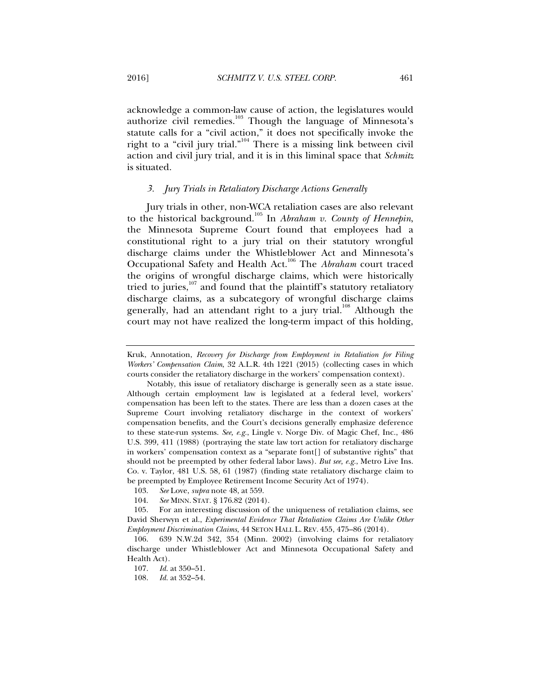acknowledge a common-law cause of action, the legislatures would authorize civil remedies.<sup>103</sup> Though the language of Minnesota's statute calls for a "civil action," it does not specifically invoke the right to a "civil jury trial."104 There is a missing link between civil action and civil jury trial, and it is in this liminal space that *Schmitz*  is situated.

## *3. Jury Trials in Retaliatory Discharge Actions Generally*

Jury trials in other, non-WCA retaliation cases are also relevant to the historical background.105 In *Abraham v. County of Hennepin*, the Minnesota Supreme Court found that employees had a constitutional right to a jury trial on their statutory wrongful discharge claims under the Whistleblower Act and Minnesota's Occupational Safety and Health Act.106 The *Abraham* court traced the origins of wrongful discharge claims, which were historically tried to juries, $107$  and found that the plaintiff's statutory retaliatory discharge claims, as a subcategory of wrongful discharge claims generally, had an attendant right to a jury trial.<sup>108</sup> Although the court may not have realized the long-term impact of this holding,

Kruk, Annotation, *Recovery for Discharge from Employment in Retaliation for Filing Workers' Compensation Claim*, 32 A.L.R. 4th 1221 (2015) (collecting cases in which courts consider the retaliatory discharge in the workers' compensation context).

Notably, this issue of retaliatory discharge is generally seen as a state issue. Although certain employment law is legislated at a federal level, workers' compensation has been left to the states. There are less than a dozen cases at the Supreme Court involving retaliatory discharge in the context of workers' compensation benefits, and the Court's decisions generally emphasize deference to these state-run systems. *See, e.g.*, Lingle v. Norge Div. of Magic Chef, Inc., 486 U.S. 399, 411 (1988) (portraying the state law tort action for retaliatory discharge in workers' compensation context as a "separate font[] of substantive rights" that should not be preempted by other federal labor laws). *But see, e.g.*, Metro Live Ins. Co. v. Taylor, 481 U.S. 58, 61 (1987) (finding state retaliatory discharge claim to be preempted by Employee Retirement Income Security Act of 1974).

 <sup>103.</sup> *See* Love, *supra* note 48, at 559.

 <sup>104.</sup> *See* MINN. STAT. § 176.82 (2014).

 <sup>105.</sup> For an interesting discussion of the uniqueness of retaliation claims, see David Sherwyn et al., *Experimental Evidence That Retaliation Claims Are Unlike Other Employment Discrimination Claims*, 44 SETON HALL L. REV. 455, 475–86 (2014).

 <sup>106. 639</sup> N.W.2d 342, 354 (Minn. 2002) (involving claims for retaliatory discharge under Whistleblower Act and Minnesota Occupational Safety and Health Act).

 <sup>107.</sup> *Id.* at 350–51.

 <sup>108.</sup> *Id.* at 352–54.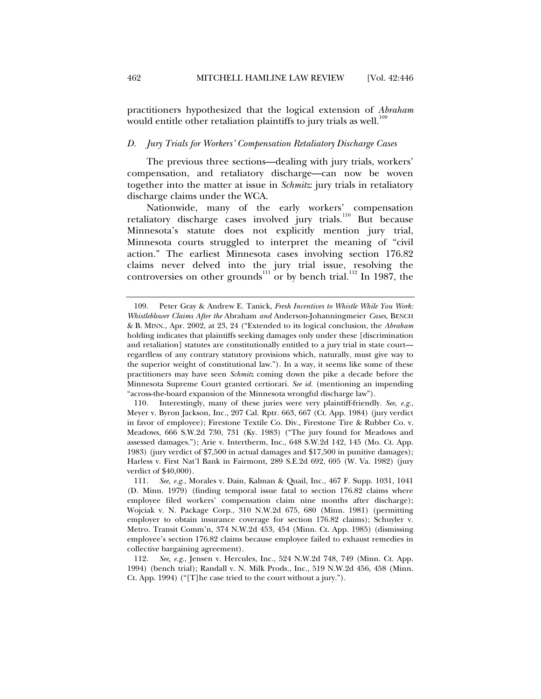practitioners hypothesized that the logical extension of *Abraham*  would entitle other retaliation plaintiffs to jury trials as well.<sup>109</sup>

#### *D. Jury Trials for Workers' Compensation Retaliatory Discharge Cases*

The previous three sections—dealing with jury trials, workers' compensation, and retaliatory discharge—can now be woven together into the matter at issue in *Schmitz*: jury trials in retaliatory discharge claims under the WCA.

Nationwide, many of the early workers' compensation retaliatory discharge cases involved jury trials.<sup>110</sup> But because Minnesota's statute does not explicitly mention jury trial, Minnesota courts struggled to interpret the meaning of "civil action." The earliest Minnesota cases involving section 176.82 claims never delved into the jury trial issue, resolving the controversies on other grounds<sup>111</sup> or by bench trial.<sup>112</sup> In 1987, the

 <sup>109.</sup> Peter Gray & Andrew E. Tanick, *Fresh Incentives to Whistle While You Work: Whistleblower Claims After the* Abraham *and* Anderson-Johanningmeier *Cases*, BENCH & B. MINN., Apr. 2002, at 23, 24 ("Extended to its logical conclusion, the *Abraham*  holding indicates that plaintiffs seeking damages only under these [discrimination and retaliation] statutes are constitutionally entitled to a jury trial in state court regardless of any contrary statutory provisions which, naturally, must give way to the superior weight of constitutional law."). In a way, it seems like some of these practitioners may have seen *Schmitz* coming down the pike a decade before the Minnesota Supreme Court granted certiorari. *See id.* (mentioning an impending "across-the-board expansion of the Minnesota wrongful discharge law").

 <sup>110.</sup> Interestingly, many of these juries were very plaintiff-friendly. *See, e.g.*, Meyer v. Byron Jackson, Inc., 207 Cal. Rptr. 663, 667 (Ct. App. 1984) (jury verdict in favor of employee); Firestone Textile Co. Div., Firestone Tire & Rubber Co. v. Meadows, 666 S.W.2d 730, 731 (Ky. 1983) ("The jury found for Meadows and assessed damages."); Arie v. Intertherm, Inc., 648 S.W.2d 142, 145 (Mo. Ct. App. 1983) (jury verdict of \$7,500 in actual damages and \$17,500 in punitive damages); Harless v. First Nat'l Bank in Fairmont, 289 S.E.2d 692, 695 (W. Va. 1982) (jury verdict of \$40,000).

 <sup>111.</sup> *See, e.g.*, Morales v. Dain, Kalman & Quail, Inc., 467 F. Supp. 1031, 1041 (D. Minn. 1979) (finding temporal issue fatal to section 176.82 claims where employee filed workers' compensation claim nine months after discharge); Wojciak v. N. Package Corp., 310 N.W.2d 675, 680 (Minn. 1981) (permitting employer to obtain insurance coverage for section 176.82 claims); Schuyler v. Metro. Transit Comm'n, 374 N.W.2d 453, 454 (Minn. Ct. App. 1985) (dismissing employee's section 176.82 claims because employee failed to exhaust remedies in collective bargaining agreement).

 <sup>112.</sup> *See, e.g.*, Jensen v. Hercules, Inc., 524 N.W.2d 748, 749 (Minn. Ct. App. 1994) (bench trial); Randall v. N. Milk Prods., Inc., 519 N.W.2d 456, 458 (Minn. Ct. App. 1994) ("[T]he case tried to the court without a jury.").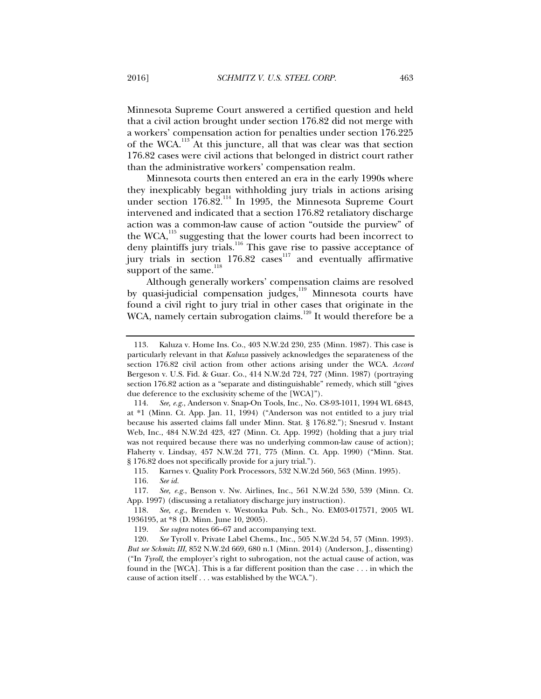Minnesota Supreme Court answered a certified question and held that a civil action brought under section 176.82 did not merge with a workers' compensation action for penalties under section 176.225 of the WCA.113 At this juncture, all that was clear was that section 176.82 cases were civil actions that belonged in district court rather than the administrative workers' compensation realm.

Minnesota courts then entered an era in the early 1990s where they inexplicably began withholding jury trials in actions arising under section 176.82.<sup>114</sup> In 1995, the Minnesota Supreme Court intervened and indicated that a section 176.82 retaliatory discharge action was a common-law cause of action "outside the purview" of the WCA, $^{115}$  suggesting that the lower courts had been incorrect to deny plaintiffs jury trials.<sup>116</sup> This gave rise to passive acceptance of jury trials in section  $176.82$  cases<sup>117</sup> and eventually affirmative support of the same.<sup>118</sup>

Although generally workers' compensation claims are resolved by quasi-judicial compensation judges,<sup>119</sup> Minnesota courts have found a civil right to jury trial in other cases that originate in the WCA, namely certain subrogation claims.<sup>120</sup> It would therefore be a

115. Karnes v. Quality Pork Processors, 532 N.W.2d 560, 563 (Minn. 1995).

 <sup>113.</sup> Kaluza v. Home Ins. Co., 403 N.W.2d 230, 235 (Minn. 1987). This case is particularly relevant in that *Kaluza* passively acknowledges the separateness of the section 176.82 civil action from other actions arising under the WCA. *Accord*  Bergeson v. U.S. Fid. & Guar. Co., 414 N.W.2d 724, 727 (Minn. 1987) (portraying section 176.82 action as a "separate and distinguishable" remedy, which still "gives due deference to the exclusivity scheme of the [WCA]").

 <sup>114.</sup> *See, e.g.*, Anderson v. Snap-On Tools, Inc., No. C8-93-1011, 1994 WL 6843, at \*1 (Minn. Ct. App. Jan. 11, 1994) ("Anderson was not entitled to a jury trial because his asserted claims fall under Minn. Stat. § 176.82."); Snesrud v. Instant Web, Inc., 484 N.W.2d 423, 427 (Minn. Ct. App. 1992) (holding that a jury trial was not required because there was no underlying common-law cause of action); Flaherty v. Lindsay, 457 N.W.2d 771, 775 (Minn. Ct. App. 1990) ("Minn. Stat. § 176.82 does not specifically provide for a jury trial.").

 <sup>116.</sup> *See id.*

 <sup>117.</sup> *See, e.g.*, Benson v. Nw. Airlines, Inc., 561 N.W.2d 530, 539 (Minn. Ct. App. 1997) (discussing a retaliatory discharge jury instruction).

 <sup>118.</sup> *See, e.g.*, Brenden v. Westonka Pub. Sch., No. EM03-017571, 2005 WL 1936195, at \*8 (D. Minn. June 10, 2005).

 <sup>119.</sup> *See supra* notes 66–67 and accompanying text.

 <sup>120.</sup> *See* Tyroll v. Private Label Chems., Inc., 505 N.W.2d 54, 57 (Minn. 1993). *But see Schmitz III*, 852 N.W.2d 669, 680 n.1 (Minn. 2014) (Anderson, J., dissenting) ("In *Tyroll*, the employer's right to subrogation, not the actual cause of action, was found in the [WCA]. This is a far different position than the case . . . in which the cause of action itself . . . was established by the WCA.").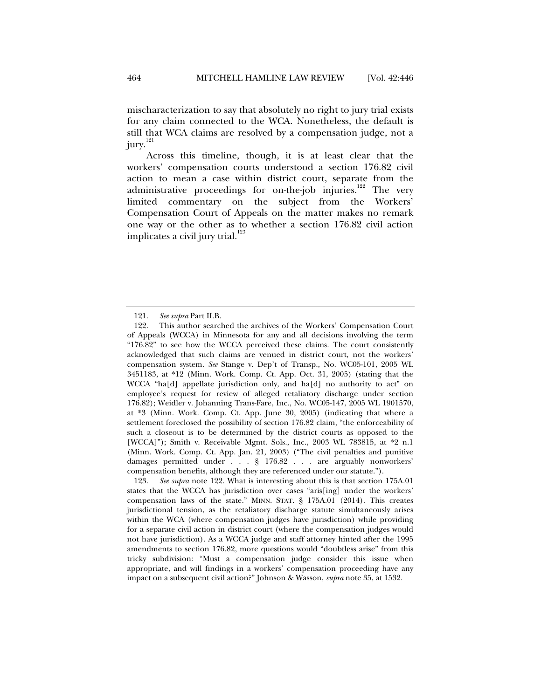mischaracterization to say that absolutely no right to jury trial exists for any claim connected to the WCA. Nonetheless, the default is still that WCA claims are resolved by a compensation judge, not a jury. $^{121}$ 

Across this timeline, though, it is at least clear that the workers' compensation courts understood a section 176.82 civil action to mean a case within district court, separate from the administrative proceedings for on-the-job injuries.<sup>122</sup> The very limited commentary on the subject from the Workers' Compensation Court of Appeals on the matter makes no remark one way or the other as to whether a section 176.82 civil action implicates a civil jury trial.<sup>123</sup>

 <sup>121.</sup> *See supra* Part II.B.

 <sup>122.</sup> This author searched the archives of the Workers' Compensation Court of Appeals (WCCA) in Minnesota for any and all decisions involving the term "176.82" to see how the WCCA perceived these claims. The court consistently acknowledged that such claims are venued in district court, not the workers' compensation system. *See* Stange v. Dep't of Transp., No. WC05-101, 2005 WL 3451183, at \*12 (Minn. Work. Comp. Ct. App. Oct. 31, 2005) (stating that the WCCA "ha[d] appellate jurisdiction only, and ha[d] no authority to act" on employee's request for review of alleged retaliatory discharge under section 176.82); Weidler v. Johanning Trans-Fare, Inc., No. WC05-147, 2005 WL 1901570, at \*3 (Minn. Work. Comp. Ct. App. June 30, 2005) (indicating that where a settlement foreclosed the possibility of section 176.82 claim, "the enforceability of such a closeout is to be determined by the district courts as opposed to the [WCCA]"); Smith v. Receivable Mgmt. Sols., Inc., 2003 WL 783815, at \*2 n.1 (Minn. Work. Comp. Ct. App. Jan. 21, 2003) ("The civil penalties and punitive damages permitted under . . . § 176.82 . . . are arguably nonworkers' compensation benefits, although they are referenced under our statute.").

 <sup>123.</sup> *See supra* note 122. What is interesting about this is that section 175A.01 states that the WCCA has jurisdiction over cases "aris[ing] under the workers' compensation laws of the state." MINN. STAT. § 175A.01 (2014). This creates jurisdictional tension, as the retaliatory discharge statute simultaneously arises within the WCA (where compensation judges have jurisdiction) while providing for a separate civil action in district court (where the compensation judges would not have jurisdiction). As a WCCA judge and staff attorney hinted after the 1995 amendments to section 176.82, more questions would "doubtless arise" from this tricky subdivision: "Must a compensation judge consider this issue when appropriate, and will findings in a workers' compensation proceeding have any impact on a subsequent civil action?" Johnson & Wasson, *supra* note 35, at 1532.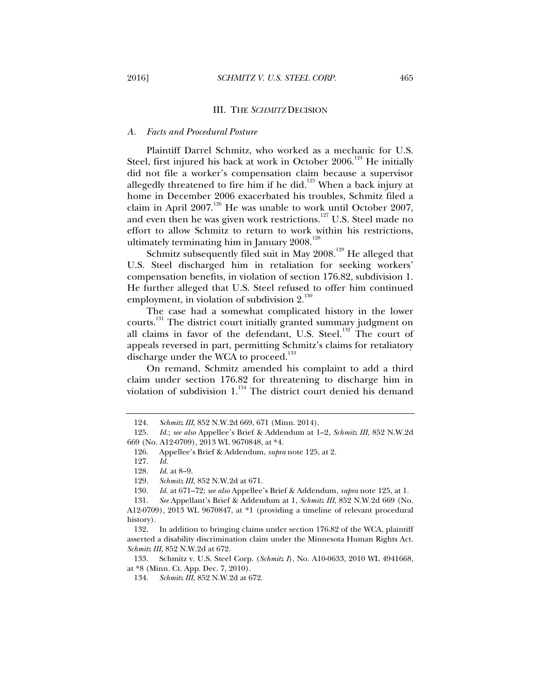#### III. THE *SCHMITZ* DECISION

#### *A. Facts and Procedural Posture*

Plaintiff Darrel Schmitz, who worked as a mechanic for U.S. Steel, first injured his back at work in October 2006.<sup>124</sup> He initially did not file a worker's compensation claim because a supervisor allegedly threatened to fire him if he did.<sup>125</sup> When a back injury at home in December 2006 exacerbated his troubles, Schmitz filed a claim in April 2007.<sup>126</sup> He was unable to work until October 2007, and even then he was given work restrictions.<sup>127</sup> U.S. Steel made no effort to allow Schmitz to return to work within his restrictions, ultimately terminating him in January 2008.<sup>128</sup>

Schmitz subsequently filed suit in May  $2008$ .<sup>129</sup> He alleged that U.S. Steel discharged him in retaliation for seeking workers' compensation benefits, in violation of section 176.82, subdivision 1. He further alleged that U.S. Steel refused to offer him continued employment, in violation of subdivision  $2^{130}$ .

The case had a somewhat complicated history in the lower courts.<sup>131</sup> The district court initially granted summary judgment on all claims in favor of the defendant, U.S. Steel.<sup>132</sup> The court of appeals reversed in part, permitting Schmitz's claims for retaliatory discharge under the WCA to proceed.<sup>133</sup>

On remand, Schmitz amended his complaint to add a third claim under section 176.82 for threatening to discharge him in violation of subdivision  $1.^{^{134}}$  The district court denied his demand

 <sup>124.</sup> *Schmitz III*, 852 N.W.2d 669, 671 (Minn. 2014).

 <sup>125.</sup> *Id.*; *see also* Appellee's Brief & Addendum at 1–2, *Schmitz III*, 852 N.W.2d 669 (No. A12-0709), 2013 WL 9670848, at \*4.

 <sup>126.</sup> Appellee's Brief & Addendum, *supra* note 125, at 2.

 <sup>127.</sup> *Id.*

 <sup>128.</sup> *Id.* at 8–9.

Schmitz III, 852 N.W.2d at 671.

<sup>130</sup>*. Id.* at 671–72; *see also* Appellee's Brief & Addendum, *supra* note 125, at 1.

 <sup>131.</sup> *See* Appellant's Brief & Addendum at 1, *Schmitz III*, 852 N.W.2d 669 (No. A12-0709), 2013 WL 9670847, at \*1 (providing a timeline of relevant procedural history).

 <sup>132.</sup> In addition to bringing claims under section 176.82 of the WCA, plaintiff asserted a disability discrimination claim under the Minnesota Human Rights Act. *Schmitz III,* 852 N.W.2d at 672.

 <sup>133.</sup> Schmitz v. U.S. Steel Corp. (*Schmitz I*), No. A10-0633, 2010 WL 4941668, at \*8 (Minn. Ct. App. Dec. 7, 2010).

 <sup>134.</sup> *Schmitz III,* 852 N.W.2d at 672.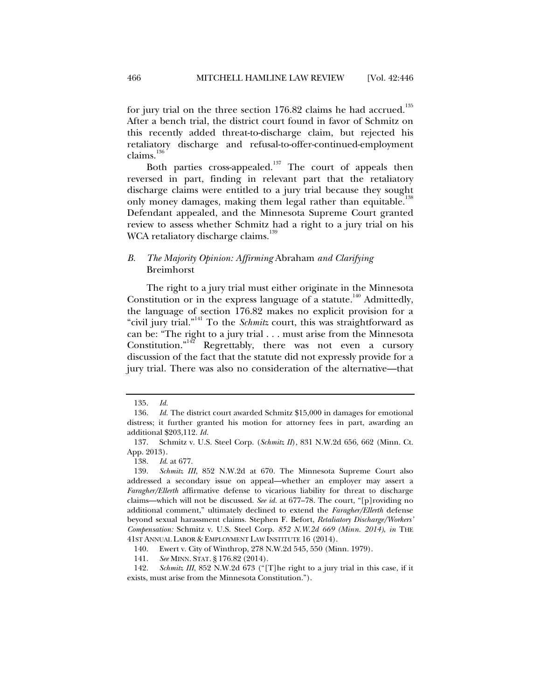for jury trial on the three section  $176.82$  claims he had accrued.<sup>135</sup> After a bench trial, the district court found in favor of Schmitz on this recently added threat-to-discharge claim, but rejected his retaliatory discharge and refusal-to-offer-continued-employment claims. $136$ 

Both parties cross-appealed.<sup>137</sup> The court of appeals then reversed in part, finding in relevant part that the retaliatory discharge claims were entitled to a jury trial because they sought only money damages, making them legal rather than equitable.<sup>138</sup> Defendant appealed, and the Minnesota Supreme Court granted review to assess whether Schmitz had a right to a jury trial on his WCA retaliatory discharge claims.<sup>139</sup>

## *B. The Majority Opinion: Affirming* Abraham *and Clarifying*  Breimhorst

The right to a jury trial must either originate in the Minnesota Constitution or in the express language of a statute.<sup>140</sup> Admittedly, the language of section 176.82 makes no explicit provision for a "civil jury trial."141 To the *Schmitz* court, this was straightforward as can be: "The right to a jury trial . . . must arise from the Minnesota Constitution."142 Regrettably, there was not even a cursory discussion of the fact that the statute did not expressly provide for a jury trial. There was also no consideration of the alternative—that

 <sup>135.</sup> *Id.* 

 <sup>136.</sup> *Id.* The district court awarded Schmitz \$15,000 in damages for emotional distress; it further granted his motion for attorney fees in part, awarding an additional \$203,112. *Id.* 

 <sup>137.</sup> Schmitz v. U.S. Steel Corp. (*Schmitz II*), 831 N.W.2d 656, 662 (Minn. Ct. App. 2013).

 <sup>138.</sup> *Id*. at 677.

 <sup>139.</sup> *Schmitz III*, 852 N.W.2d at 670. The Minnesota Supreme Court also addressed a secondary issue on appeal—whether an employer may assert a *Faragher/Ellerth* affirmative defense to vicarious liability for threat to discharge claims—which will not be discussed. *See id.* at 677–78. The court, "[p]roviding no additional comment," ultimately declined to extend the *Faragher/Ellerth* defense beyond sexual harassment claims. Stephen F. Befort, *Retaliatory Discharge/Workers' Compensation:* Schmitz v. U.S. Steel Corp. *852 N.W.2d 669 (Minn. 2014)*, *in* THE 41ST ANNUAL LABOR & EMPLOYMENT LAW INSTITUTE 16 (2014).

 <sup>140.</sup> Ewert v. City of Winthrop, 278 N.W.2d 545, 550 (Minn. 1979).

 <sup>141.</sup> *See* MINN. STAT. § 176.82 (2014).

 <sup>142.</sup> *Schmitz III*, 852 N.W.2d 673 ("[T]he right to a jury trial in this case, if it exists, must arise from the Minnesota Constitution.").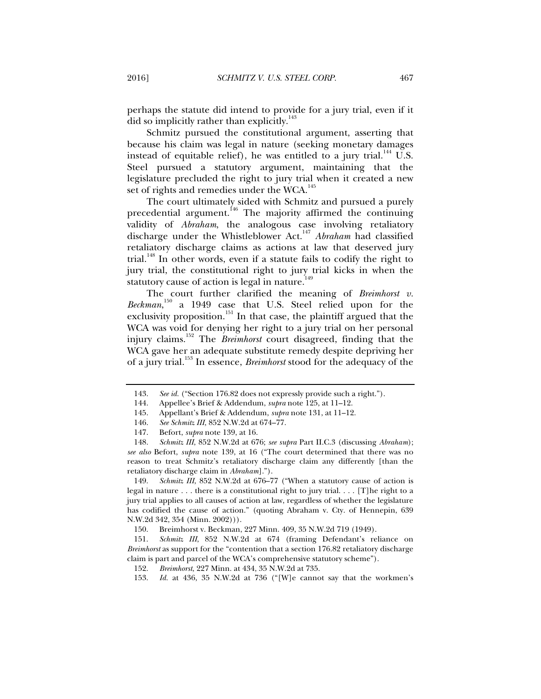perhaps the statute did intend to provide for a jury trial, even if it did so implicitly rather than explicitly.<sup>143</sup>

Schmitz pursued the constitutional argument, asserting that because his claim was legal in nature (seeking monetary damages instead of equitable relief), he was entitled to a jury trial.<sup>144</sup> U.S. Steel pursued a statutory argument, maintaining that the legislature precluded the right to jury trial when it created a new set of rights and remedies under the WCA.<sup>145</sup>

The court ultimately sided with Schmitz and pursued a purely precedential argument.<sup>146</sup> The majority affirmed the continuing validity of *Abraham*, the analogous case involving retaliatory discharge under the Whistleblower Act.147 *Abraham* had classified retaliatory discharge claims as actions at law that deserved jury trial.<sup>148</sup> In other words, even if a statute fails to codify the right to jury trial, the constitutional right to jury trial kicks in when the statutory cause of action is legal in nature.<sup>149</sup>

The court further clarified the meaning of *Breimhorst v.*  Beckman,<sup>150</sup> a 1949 case that U.S. Steel relied upon for the exclusivity proposition.<sup>151</sup> In that case, the plaintiff argued that the WCA was void for denying her right to a jury trial on her personal injury claims.152 The *Breimhorst* court disagreed, finding that the WCA gave her an adequate substitute remedy despite depriving her of a jury trial.153 In essence, *Breimhorst* stood for the adequacy of the

 149. *Schmitz III*, 852 N.W.2d at 676–77 ("When a statutory cause of action is legal in nature . . . there is a constitutional right to jury trial. . . . [T]he right to a jury trial applies to all causes of action at law, regardless of whether the legislature has codified the cause of action." (quoting Abraham v. Cty. of Hennepin, 639 N.W.2d 342, 354 (Minn. 2002))).

150. Breimhorst v. Beckman, 227 Minn. 409, 35 N.W.2d 719 (1949).

 151. *Schmitz III*, 852 N.W.2d at 674 (framing Defendant's reliance on *Breimhorst* as support for the "contention that a section 176.82 retaliatory discharge claim is part and parcel of the WCA's comprehensive statutory scheme").

152. *Breimhorst*, 227 Minn. at 434, 35 N.W.2d at 735.

153. *Id.* at 436, 35 N.W.2d at 736 ("[W]e cannot say that the workmen's

 <sup>143.</sup> *See id.* ("Section 176.82 does not expressly provide such a right.").

 <sup>144.</sup> Appellee's Brief & Addendum, *supra* note 125, at 11–12.

 <sup>145.</sup> Appellant's Brief & Addendum, *supra* note 131, at 11–12.

 <sup>146.</sup> *See Schmitz III*, 852 N.W.2d at 674–77.

 <sup>147.</sup> Befort, *supra* note 139, at 16.

 <sup>148.</sup> *Schmitz III*, 852 N.W.2d at 676; *see supra* Part II.C.3 (discussing *Abraham*); *see also* Befort, *supra* note 139, at 16 ("The court determined that there was no reason to treat Schmitz's retaliatory discharge claim any differently [than the retaliatory discharge claim in *Abraham*].").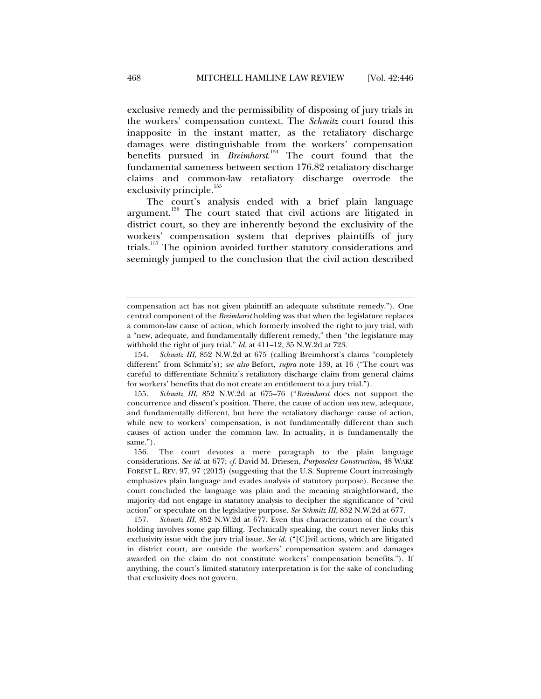exclusive remedy and the permissibility of disposing of jury trials in the workers' compensation context. The *Schmitz* court found this inapposite in the instant matter, as the retaliatory discharge damages were distinguishable from the workers' compensation benefits pursued in *Breimhorst*. 154 The court found that the fundamental sameness between section 176.82 retaliatory discharge claims and common-law retaliatory discharge overrode the exclusivity principle. $155$ 

The court's analysis ended with a brief plain language argument.<sup>156</sup> The court stated that civil actions are litigated in district court, so they are inherently beyond the exclusivity of the workers' compensation system that deprives plaintiffs of jury trials.157 The opinion avoided further statutory considerations and seemingly jumped to the conclusion that the civil action described

compensation act has not given plaintiff an adequate substitute remedy."). One central component of the *Breimhorst* holding was that when the legislature replaces a common-law cause of action, which formerly involved the right to jury trial, with a "new, adequate, and fundamentally different remedy," then "the legislature may withhold the right of jury trial." *Id.* at 411–12, 35 N.W.2d at 723.

 <sup>154.</sup> *Schmitz III*, 852 N.W.2d at 675 (calling Breimhorst's claims "completely different" from Schmitz's); *see also* Befort, *supra* note 139, at 16 ("The court was careful to differentiate Schmitz's retaliatory discharge claim from general claims for workers' benefits that do not create an entitlement to a jury trial.").

 <sup>155.</sup> *Schmitz III*, 852 N.W.2d at 675–76 ("*Breimhorst* does not support the concurrence and dissent's position. There, the cause of action *was* new, adequate, and fundamentally different, but here the retaliatory discharge cause of action, while new to workers' compensation, is not fundamentally different than such causes of action under the common law. In actuality, it is fundamentally the same.").

 <sup>156.</sup> The court devotes a mere paragraph to the plain language considerations. *See id.* at 677; *cf.* David M. Driesen, *Purposeless Construction*, 48 WAKE FOREST L. REV. 97, 97 (2013) (suggesting that the U.S. Supreme Court increasingly emphasizes plain language and evades analysis of statutory purpose). Because the court concluded the language was plain and the meaning straightforward, the majority did not engage in statutory analysis to decipher the significance of "civil action" or speculate on the legislative purpose. *See Schmitz III*, 852 N.W.2d at 677*.* 

 <sup>157.</sup> *Schmitz III*, 852 N.W.2d at 677. Even this characterization of the court's holding involves some gap filling. Technically speaking, the court never links this exclusivity issue with the jury trial issue. *See id.* ("[C]ivil actions, which are litigated in district court, are outside the workers' compensation system and damages awarded on the claim do not constitute workers' compensation benefits."). If anything, the court's limited statutory interpretation is for the sake of concluding that exclusivity does not govern.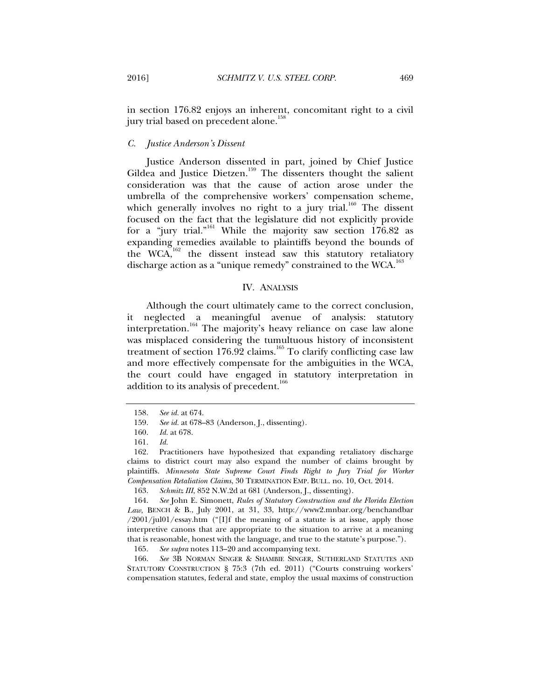in section 176.82 enjoys an inherent, concomitant right to a civil jury trial based on precedent alone.<sup>158</sup>

## *C. Justice Anderson's Dissent*

Justice Anderson dissented in part, joined by Chief Justice Gildea and Justice Dietzen.<sup>159</sup> The dissenters thought the salient consideration was that the cause of action arose under the umbrella of the comprehensive workers' compensation scheme, which generally involves no right to a jury trial.<sup>160</sup> The dissent focused on the fact that the legislature did not explicitly provide for a "jury trial."161 While the majority saw section 176.82 as expanding remedies available to plaintiffs beyond the bounds of the WCA, $162$  the dissent instead saw this statutory retaliatory discharge action as a "unique remedy" constrained to the WCA.<sup>163</sup>

## IV. ANALYSIS

Although the court ultimately came to the correct conclusion, it neglected a meaningful avenue of analysis: statutory interpretation.<sup>164</sup> The majority's heavy reliance on case law alone was misplaced considering the tumultuous history of inconsistent treatment of section  $176.92$  claims.<sup>165</sup> To clarify conflicting case law and more effectively compensate for the ambiguities in the WCA, the court could have engaged in statutory interpretation in addition to its analysis of precedent.<sup>166</sup>

165. *See supra* notes 113–20 and accompanying text.

 166. *See* 3B NORMAN SINGER & SHAMBIE SINGER, SUTHERLAND STATUTES AND STATUTORY CONSTRUCTION § 75:3 (7th ed. 2011) ("Courts construing workers' compensation statutes, federal and state, employ the usual maxims of construction

 <sup>158.</sup> *See id.* at 674.

 <sup>159.</sup> *See id.* at 678–83 (Anderson, J., dissenting).

 <sup>160.</sup> *Id.* at 678.

 <sup>161.</sup> *Id.*

 <sup>162.</sup> Practitioners have hypothesized that expanding retaliatory discharge claims to district court may also expand the number of claims brought by plaintiffs. *Minnesota State Supreme Court Finds Right to Jury Trial for Worker Compensation Retaliation Claims*, 30 TERMINATION EMP. BULL. no. 10, Oct. 2014.

 <sup>163.</sup> *Schmitz III*, 852 N.W.2d at 681 (Anderson, J., dissenting).

 <sup>164.</sup> *See* John E. Simonett, *Rules of Statutory Construction and the Florida Election Law*, BENCH & B., July 2001, at 31, 33, http://www2.mnbar.org/benchandbar  $/2001$ /jul01/essay.htm ("[I]f the meaning of a statute is at issue, apply those interpretive canons that are appropriate to the situation to arrive at a meaning that is reasonable, honest with the language, and true to the statute's purpose.").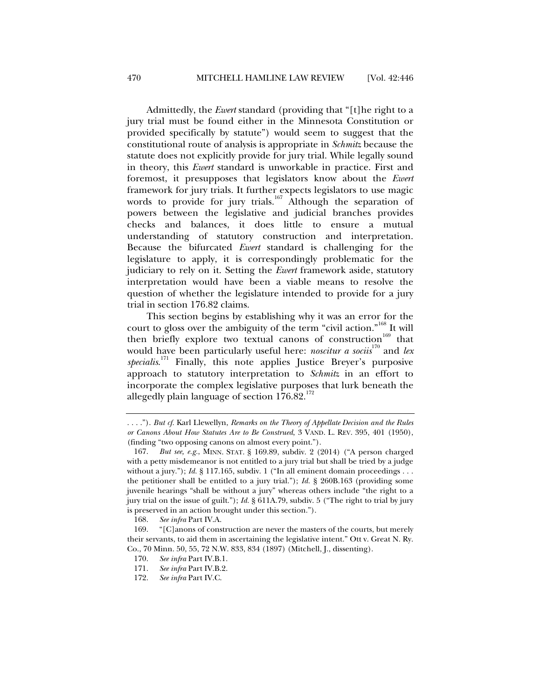Admittedly, the *Ewert* standard (providing that "[t]he right to a jury trial must be found either in the Minnesota Constitution or provided specifically by statute") would seem to suggest that the constitutional route of analysis is appropriate in *Schmitz* because the statute does not explicitly provide for jury trial. While legally sound in theory, this *Ewert* standard is unworkable in practice. First and foremost, it presupposes that legislators know about the *Ewert*  framework for jury trials. It further expects legislators to use magic words to provide for jury trials.<sup>167</sup> Although the separation of powers between the legislative and judicial branches provides checks and balances, it does little to ensure a mutual understanding of statutory construction and interpretation. Because the bifurcated *Ewert* standard is challenging for the legislature to apply, it is correspondingly problematic for the judiciary to rely on it. Setting the *Ewert* framework aside, statutory interpretation would have been a viable means to resolve the question of whether the legislature intended to provide for a jury trial in section 176.82 claims.

This section begins by establishing why it was an error for the court to gloss over the ambiguity of the term "civil action."168 It will then briefly explore two textual canons of construction<sup>169</sup> that would have been particularly useful here: *noscitur a sociis*<sup>170</sup> and *lex specialis*. 171 Finally, this note applies Justice Breyer's purposive approach to statutory interpretation to *Schmitz* in an effort to incorporate the complex legislative purposes that lurk beneath the allegedly plain language of section  $176.82$ .<sup>172</sup>

<sup>. . . .&</sup>quot;). *But cf.* Karl Llewellyn, *Remarks on the Theory of Appellate Decision and the Rules or Canons About How Statutes Are to Be Construed*, 3 VAND. L. REV. 395, 401 (1950), (finding "two opposing canons on almost every point.").

 <sup>167.</sup> *But see, e.g.*, MINN. STAT. § 169.89, subdiv. 2 (2014) ("A person charged with a petty misdemeanor is not entitled to a jury trial but shall be tried by a judge without a jury."); *Id.* § 117.165, subdiv. 1 ("In all eminent domain proceedings . . . the petitioner shall be entitled to a jury trial."); *Id.* § 260B.163 (providing some juvenile hearings "shall be without a jury" whereas others include "the right to a jury trial on the issue of guilt."); *Id.* § 611A.79, subdiv. 5 ("The right to trial by jury is preserved in an action brought under this section.").

 <sup>168.</sup> *See infra* Part IV.A.

 <sup>169. &</sup>quot;[C]anons of construction are never the masters of the courts, but merely their servants, to aid them in ascertaining the legislative intent." Ott v. Great N. Ry. Co., 70 Minn. 50, 55, 72 N.W. 833, 834 (1897) (Mitchell, J., dissenting).

 <sup>170.</sup> *See infra* Part IV.B.1.

 <sup>171.</sup> *See infra* Part IV.B.2.

 <sup>172.</sup> *See infra* Part IV.C.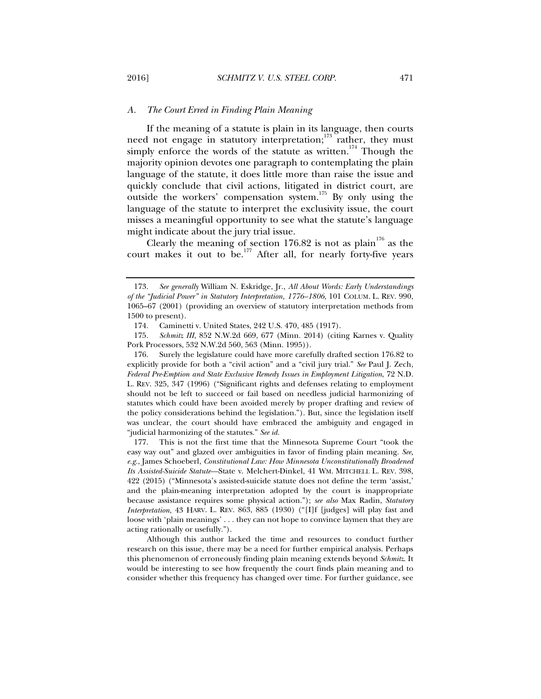## *A. The Court Erred in Finding Plain Meaning*

If the meaning of a statute is plain in its language, then courts need not engage in statutory interpretation;<sup>173</sup> rather, they must simply enforce the words of the statute as written.<sup>174</sup> Though the majority opinion devotes one paragraph to contemplating the plain language of the statute, it does little more than raise the issue and quickly conclude that civil actions, litigated in district court, are outside the workers' compensation system.<sup>175</sup> By only using the language of the statute to interpret the exclusivity issue, the court misses a meaningful opportunity to see what the statute's language might indicate about the jury trial issue.

Clearly the meaning of section 176.82 is not as plain<sup>176</sup> as the court makes it out to be.<sup>177</sup> After all, for nearly forty-five years

 176. Surely the legislature could have more carefully drafted section 176.82 to explicitly provide for both a "civil action" and a "civil jury trial." *See* Paul J. Zech, *Federal Pre-Emption and State Exclusive Remedy Issues in Employment Litigation*, 72 N.D. L. REV. 325, 347 (1996) ("Significant rights and defenses relating to employment should not be left to succeed or fail based on needless judicial harmonizing of statutes which could have been avoided merely by proper drafting and review of the policy considerations behind the legislation."). But, since the legislation itself was unclear, the court should have embraced the ambiguity and engaged in "judicial harmonizing of the statutes." *See id.*

 177. This is not the first time that the Minnesota Supreme Court "took the easy way out" and glazed over ambiguities in favor of finding plain meaning. *See, e.g.*, James Schoeberl, *Constitutional Law: How Minnesota Unconstitutionally Broadened Its Assisted-Suicide Statute—*State v. Melchert-Dinkel, 41 WM. MITCHELL L. REV. 398, 422 (2015) ("Minnesota's assisted-suicide statute does not define the term 'assist,' and the plain-meaning interpretation adopted by the court is inappropriate because assistance requires some physical action."); *see also* Max Radin, *Statutory Interpretation*, 43 HARV. L. REV. 863, 885 (1930) ("[I]f [judges] will play fast and loose with 'plain meanings' . . . they can not hope to convince laymen that they are acting rationally or usefully.").

Although this author lacked the time and resources to conduct further research on this issue, there may be a need for further empirical analysis. Perhaps this phenomenon of erroneously finding plain meaning extends beyond *Schmitz*. It would be interesting to see how frequently the court finds plain meaning and to consider whether this frequency has changed over time. For further guidance, see

 <sup>173.</sup> *See generally* William N. Eskridge, Jr., *All About Words: Early Understandings of the "Judicial Power" in Statutory Interpretation, 1776–1806*, 101 COLUM. L. REV. 990, 1065–67 (2001) (providing an overview of statutory interpretation methods from 1500 to present).

 <sup>174.</sup> Caminetti v. United States, 242 U.S. 470, 485 (1917).

 <sup>175.</sup> *Schmitz III*, 852 N.W.2d 669, 677 (Minn. 2014) (citing Karnes v. Quality Pork Processors, 532 N.W.2d 560, 563 (Minn. 1995)).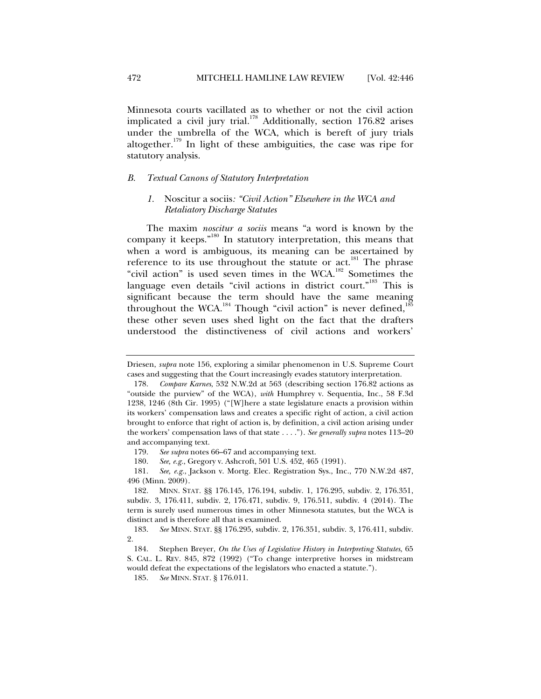Minnesota courts vacillated as to whether or not the civil action implicated a civil jury trial.<sup>178</sup> Additionally, section 176.82 arises under the umbrella of the WCA, which is bereft of jury trials altogether.<sup>179</sup> In light of these ambiguities, the case was ripe for statutory analysis.

#### *B. Textual Canons of Statutory Interpretation*

## *1.* Noscitur a sociis*: "Civil Action" Elsewhere in the WCA and Retaliatory Discharge Statutes*

The maxim *noscitur a sociis* means "a word is known by the company it keeps."180 In statutory interpretation, this means that when a word is ambiguous, its meaning can be ascertained by reference to its use throughout the statute or act.<sup>181</sup> The phrase "civil action" is used seven times in the WCA.<sup>182</sup> Sometimes the language even details "civil actions in district court."<sup>183</sup> This is significant because the term should have the same meaning throughout the WCA.<sup>184</sup> Though "civil action" is never defined,<sup>18</sup> these other seven uses shed light on the fact that the drafters understood the distinctiveness of civil actions and workers'

Driesen, *supra* note 156, exploring a similar phenomenon in U.S. Supreme Court cases and suggesting that the Court increasingly evades statutory interpretation.

 <sup>178.</sup> *Compare Karnes*, 532 N.W.2d at 563 (describing section 176.82 actions as "outside the purview" of the WCA), *with* Humphrey v. Sequentia, Inc., 58 F.3d 1238, 1246 (8th Cir. 1995) ("[W]here a state legislature enacts a provision within its workers' compensation laws and creates a specific right of action, a civil action brought to enforce that right of action is, by definition, a civil action arising under the workers' compensation laws of that state . . . ."). *See generally supra* notes 113–20 and accompanying text.

 <sup>179.</sup> *See supra* notes 66–67 and accompanying text.

 <sup>180.</sup> *See, e.g.*, Gregory v. Ashcroft, 501 U.S. 452, 465 (1991).

 <sup>181.</sup> *See, e.g.*, Jackson v. Mortg. Elec. Registration Sys., Inc., 770 N.W.2d 487, 496 (Minn. 2009).

 <sup>182.</sup> MINN. STAT. §§ 176.145, 176.194, subdiv. 1, 176.295, subdiv. 2, 176.351, subdiv. 3, 176.411, subdiv. 2, 176.471, subdiv. 9, 176.511, subdiv. 4 (2014). The term is surely used numerous times in other Minnesota statutes, but the WCA is distinct and is therefore all that is examined.

 <sup>183.</sup> *See* MINN. STAT. §§ 176.295, subdiv. 2, 176.351, subdiv. 3, 176.411, subdiv. 2.

 <sup>184.</sup> Stephen Breyer, *On the Uses of Legislative History in Interpreting Statutes*, 65 S. CAL. L. REV. 845, 872 (1992) ("To change interpretive horses in midstream would defeat the expectations of the legislators who enacted a statute.").

 <sup>185.</sup> *See* MINN. STAT. § 176.011.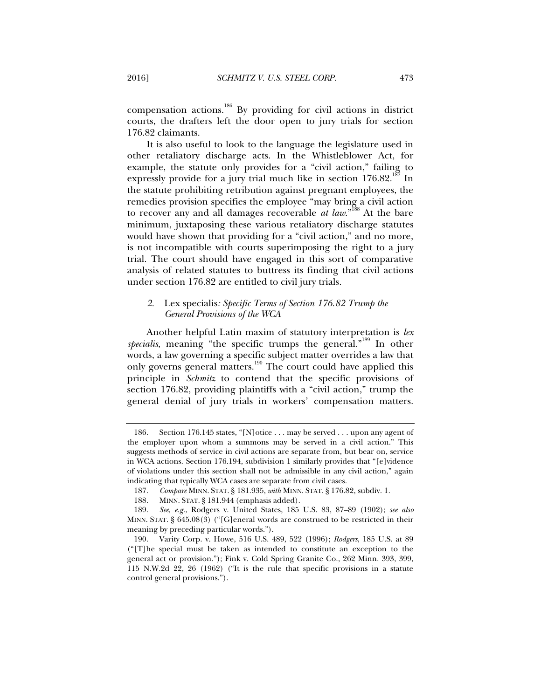compensation actions.186 By providing for civil actions in district courts, the drafters left the door open to jury trials for section 176.82 claimants.

It is also useful to look to the language the legislature used in other retaliatory discharge acts. In the Whistleblower Act, for example, the statute only provides for a "civil action," failing to expressly provide for a jury trial much like in section  $176.82$ .<sup>187</sup> In the statute prohibiting retribution against pregnant employees, the remedies provision specifies the employee "may bring a civil action to recover any and all damages recoverable *at law*."<sup>188</sup> At the bare minimum, juxtaposing these various retaliatory discharge statutes would have shown that providing for a "civil action," and no more, is not incompatible with courts superimposing the right to a jury trial. The court should have engaged in this sort of comparative analysis of related statutes to buttress its finding that civil actions under section 176.82 are entitled to civil jury trials.

## *2.* Lex specialis*: Specific Terms of Section 176.82 Trump the General Provisions of the WCA*

Another helpful Latin maxim of statutory interpretation is *lex*  specialis, meaning "the specific trumps the general."<sup>189</sup> In other words, a law governing a specific subject matter overrides a law that only governs general matters.<sup>190</sup> The court could have applied this principle in *Schmitz* to contend that the specific provisions of section 176.82, providing plaintiffs with a "civil action," trump the general denial of jury trials in workers' compensation matters.

 <sup>186.</sup> Section 176.145 states, "[N]otice . . . may be served . . . upon any agent of the employer upon whom a summons may be served in a civil action." This suggests methods of service in civil actions are separate from, but bear on, service in WCA actions. Section 176.194, subdivision 1 similarly provides that "[e]vidence of violations under this section shall not be admissible in any civil action," again indicating that typically WCA cases are separate from civil cases.

 <sup>187.</sup> *Compare* MINN. STAT. § 181.935, *with* MINN. STAT. § 176.82, subdiv. 1.

 <sup>188.</sup> MINN. STAT. § 181.944 (emphasis added).

 <sup>189.</sup> *See, e.g.*, Rodgers v. United States, 185 U.S. 83, 87–89 (1902); *see also*  MINN. STAT. § 645.08(3) ("[G]eneral words are construed to be restricted in their meaning by preceding particular words.").

 <sup>190.</sup> Varity Corp. v. Howe, 516 U.S. 489, 522 (1996); *Rodgers*, 185 U.S. at 89 ("[T]he special must be taken as intended to constitute an exception to the general act or provision."); Fink v. Cold Spring Granite Co., 262 Minn. 393, 399, 115 N.W.2d 22, 26 (1962) ("It is the rule that specific provisions in a statute control general provisions.").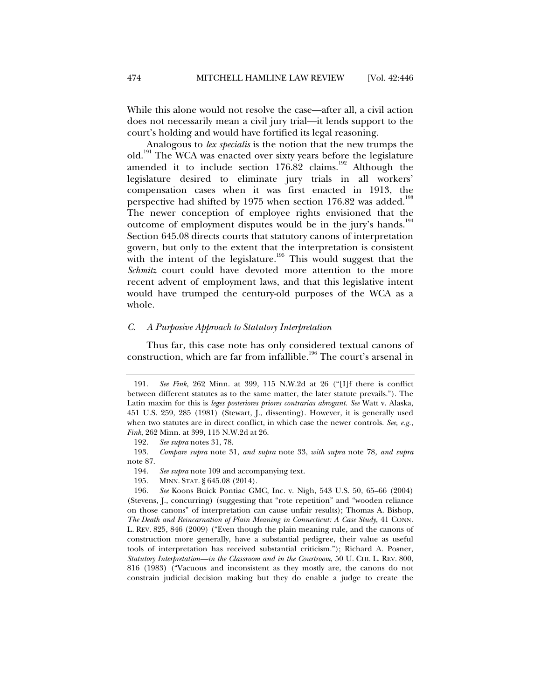While this alone would not resolve the case—after all, a civil action does not necessarily mean a civil jury trial—it lends support to the court's holding and would have fortified its legal reasoning.

Analogous to *lex specialis* is the notion that the new trumps the old.191 The WCA was enacted over sixty years before the legislature amended it to include section  $176.82$  claims.<sup>192</sup> Although the legislature desired to eliminate jury trials in all workers' compensation cases when it was first enacted in 1913, the perspective had shifted by 1975 when section 176.82 was added.<sup>193</sup> The newer conception of employee rights envisioned that the outcome of employment disputes would be in the jury's hands.<sup>194</sup> Section 645.08 directs courts that statutory canons of interpretation govern, but only to the extent that the interpretation is consistent with the intent of the legislature.<sup>195</sup> This would suggest that the *Schmitz* court could have devoted more attention to the more recent advent of employment laws, and that this legislative intent would have trumped the century-old purposes of the WCA as a whole.

## *C. A Purposive Approach to Statutory Interpretation*

Thus far, this case note has only considered textual canons of construction, which are far from infallible.<sup>196</sup> The court's arsenal in

195. MINN. STAT. § 645.08 (2014).

 196. *See* Koons Buick Pontiac GMC, Inc. v. Nigh, 543 U.S. 50, 65–66 (2004) (Stevens, J., concurring) (suggesting that "rote repetition" and "wooden reliance on those canons" of interpretation can cause unfair results); Thomas A. Bishop, *The Death and Reincarnation of Plain Meaning in Connecticut: A Case Study*, 41 CONN. L. REV. 825, 846 (2009) ("Even though the plain meaning rule, and the canons of construction more generally, have a substantial pedigree, their value as useful tools of interpretation has received substantial criticism."); Richard A. Posner, *Statutory Interpretation—in the Classroom and in the Courtroom*, 50 U. CHI. L. REV. 800, 816 (1983) ("Vacuous and inconsistent as they mostly are, the canons do not constrain judicial decision making but they do enable a judge to create the

 <sup>191.</sup> *See Fink*, 262 Minn. at 399, 115 N.W.2d at 26 ("[I]f there is conflict between different statutes as to the same matter, the later statute prevails."). The Latin maxim for this is *leges posteriores priores contrarias abrogant. See* Watt v. Alaska, 451 U.S. 259, 285 (1981) (Stewart, J., dissenting). However, it is generally used when two statutes are in direct conflict, in which case the newer controls. *See, e.g.*, *Fink*, 262 Minn. at 399, 115 N.W.2d at 26.

 <sup>192.</sup> *See supra* notes 31, 78.

 <sup>193.</sup> *Compare supra* note 31, *and supra* note 33, *with supra* note 78, *and supra*  note 87.

 <sup>194.</sup> *See supra* note 109 and accompanying text.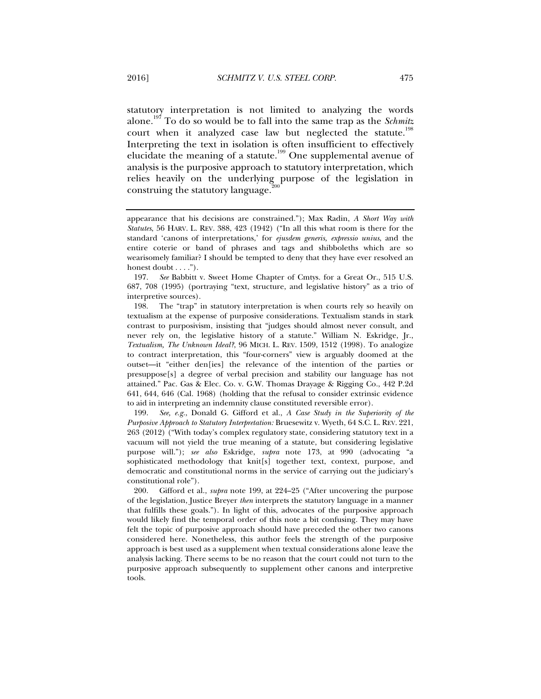statutory interpretation is not limited to analyzing the words alone.197 To do so would be to fall into the same trap as the *Schmitz*  court when it analyzed case law but neglected the statute.<sup>198</sup> Interpreting the text in isolation is often insufficient to effectively elucidate the meaning of a statute.<sup>199</sup> One supplemental avenue of analysis is the purposive approach to statutory interpretation, which relies heavily on the underlying purpose of the legislation in construing the statutory language.<sup>2</sup>

 197. *See* Babbitt v. Sweet Home Chapter of Cmtys. for a Great Or., 515 U.S. 687, 708 (1995) (portraying "text, structure, and legislative history" as a trio of interpretive sources).

 198. The "trap" in statutory interpretation is when courts rely so heavily on textualism at the expense of purposive considerations. Textualism stands in stark contrast to purposivism, insisting that "judges should almost never consult, and never rely on, the legislative history of a statute." William N. Eskridge, Jr., *Textualism, The Unknown Ideal?*, 96 MICH. L. REV. 1509, 1512 (1998). To analogize to contract interpretation, this "four-corners" view is arguably doomed at the outset—it "either den[ies] the relevance of the intention of the parties or presuppose[s] a degree of verbal precision and stability our language has not attained." Pac. Gas & Elec. Co. v. G.W. Thomas Drayage & Rigging Co., 442 P.2d 641, 644, 646 (Cal. 1968) (holding that the refusal to consider extrinsic evidence to aid in interpreting an indemnity clause constituted reversible error).

 199. *See, e.g.*, Donald G. Gifford et al., *A Case Study in the Superiority of the Purposive Approach to Statutory Interpretation:* Bruesewitz v. Wyeth, 64 S.C. L. REV. 221, 263 (2012) ("With today's complex regulatory state, considering statutory text in a vacuum will not yield the true meaning of a statute, but considering legislative purpose will."); *see also* Eskridge, *supra* note 173, at 990 (advocating "a sophisticated methodology that knit[s] together text, context, purpose, and democratic and constitutional norms in the service of carrying out the judiciary's constitutional role").

 200. Gifford et al., *supra* note 199, at 224–25 ("After uncovering the purpose of the legislation, Justice Breyer *then* interprets the statutory language in a manner that fulfills these goals."). In light of this, advocates of the purposive approach would likely find the temporal order of this note a bit confusing. They may have felt the topic of purposive approach should have preceded the other two canons considered here. Nonetheless, this author feels the strength of the purposive approach is best used as a supplement when textual considerations alone leave the analysis lacking. There seems to be no reason that the court could not turn to the purposive approach subsequently to supplement other canons and interpretive tools.

appearance that his decisions are constrained."); Max Radin, *A Short Way with Statutes*, 56 HARV. L. REV. 388, 423 (1942) ("In all this what room is there for the standard 'canons of interpretations,' for *ejusdem generis, expressio unius*, and the entire coterie or band of phrases and tags and shibboleths which are so wearisomely familiar? I should be tempted to deny that they have ever resolved an honest doubt . . . .").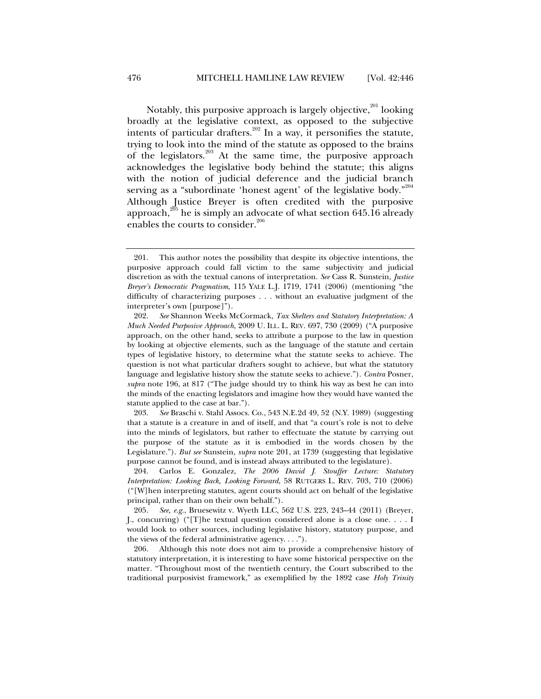Notably, this purposive approach is largely objective,<sup>201</sup> looking broadly at the legislative context, as opposed to the subjective intents of particular drafters.<sup>202</sup> In a way, it personifies the statute, trying to look into the mind of the statute as opposed to the brains of the legislators.203 At the same time, the purposive approach acknowledges the legislative body behind the statute; this aligns with the notion of judicial deference and the judicial branch serving as a "subordinate 'honest agent' of the legislative body."<sup>204</sup> Although Justice Breyer is often credited with the purposive approach, $^{205}$  he is simply an advocate of what section 645.16 already enables the courts to consider.<sup>206</sup>

 203. *See* Braschi v. Stahl Assocs. Co., 543 N.E.2d 49, 52 (N.Y. 1989) (suggesting that a statute is a creature in and of itself, and that "a court's role is not to delve into the minds of legislators, but rather to effectuate the statute by carrying out the purpose of the statute as it is embodied in the words chosen by the Legislature."). *But see* Sunstein, *supra* note 201, at 1739 (suggesting that legislative purpose cannot be found, and is instead always attributed to the legislature).

 204. Carlos E. Gonzalez, *The 2006 David J. Stouffer Lecture: Statutory Interpretation: Looking Back, Looking Forward*, 58 RUTGERS L. REV. 703, 710 (2006) ("[W]hen interpreting statutes, agent courts should act on behalf of the legislative principal, rather than on their own behalf.").

 205. *See, e.g.*, Bruesewitz v. Wyeth LLC, 562 U.S. 223, 243–44 (2011) (Breyer, J., concurring) ("[T]he textual question considered alone is a close one. . . . I would look to other sources, including legislative history, statutory purpose, and the views of the federal administrative agency. . . .").

 206. Although this note does not aim to provide a comprehensive history of statutory interpretation, it is interesting to have some historical perspective on the matter. "Throughout most of the twentieth century, the Court subscribed to the traditional purposivist framework," as exemplified by the 1892 case *Holy Trinity* 

 <sup>201.</sup> This author notes the possibility that despite its objective intentions, the purposive approach could fall victim to the same subjectivity and judicial discretion as with the textual canons of interpretation. *See* Cass R. Sunstein, *Justice Breyer's Democratic Pragmatism*, 115 YALE L.J. 1719, 1741 (2006) (mentioning "the difficulty of characterizing purposes . . . without an evaluative judgment of the interpreter's own [purpose]").

 <sup>202.</sup> *See* Shannon Weeks McCormack, *Tax Shelters and Statutory Interpretation: A Much Needed Purposive Approach*, 2009 U. ILL. L. REV. 697, 730 (2009) ("A purposive approach, on the other hand, seeks to attribute a purpose to the law in question by looking at objective elements, such as the language of the statute and certain types of legislative history, to determine what the statute seeks to achieve. The question is not what particular drafters sought to achieve, but what the statutory language and legislative history show the statute seeks to achieve."). *Contra* Posner, *supra* note 196, at 817 ("The judge should try to think his way as best he can into the minds of the enacting legislators and imagine how they would have wanted the statute applied to the case at bar.").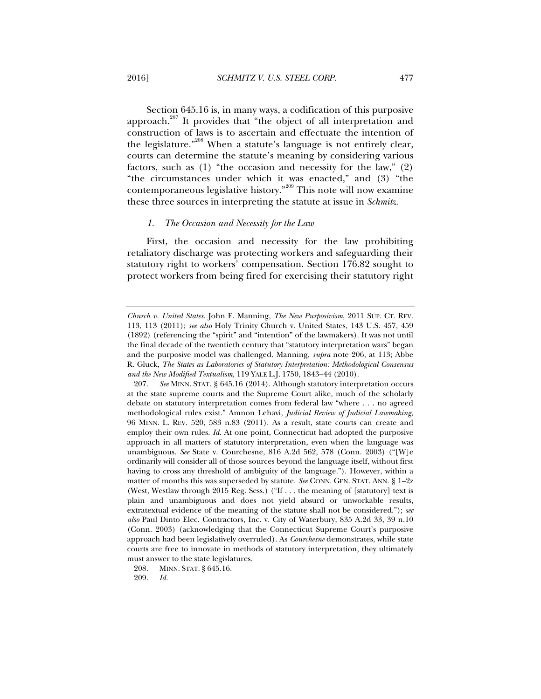Section 645.16 is, in many ways, a codification of this purposive approach.<sup>207</sup> It provides that "the object of all interpretation and construction of laws is to ascertain and effectuate the intention of the legislature."208 When a statute's language is not entirely clear, courts can determine the statute's meaning by considering various factors, such as (1) "the occasion and necessity for the law," (2) "the circumstances under which it was enacted," and (3) "the contemporaneous legislative history."209 This note will now examine these three sources in interpreting the statute at issue in *Schmitz.* 

## *1. The Occasion and Necessity for the Law*

First, the occasion and necessity for the law prohibiting retaliatory discharge was protecting workers and safeguarding their statutory right to workers' compensation. Section 176.82 sought to protect workers from being fired for exercising their statutory right

208. MINN. STAT. § 645.16.

*Church v. United States*. John F. Manning, *The New Purposivism*, 2011 SUP. CT. REV. 113, 113 (2011); *see also* Holy Trinity Church v. United States, 143 U.S. 457, 459 (1892) (referencing the "spirit" and "intention" of the lawmakers). It was not until the final decade of the twentieth century that "statutory interpretation wars" began and the purposive model was challenged. Manning, *supra* note 206, at 113; Abbe R. Gluck, *The States as Laboratories of Statutory Interpretation: Methodological Consensus and the New Modified Textualism*, 119 YALE L.J. 1750, 1843–44 (2010).

 <sup>207.</sup> *See* MINN. STAT. § 645.16 (2014). Although statutory interpretation occurs at the state supreme courts and the Supreme Court alike, much of the scholarly debate on statutory interpretation comes from federal law "where . . . no agreed methodological rules exist." Amnon Lehavi, *Judicial Review of Judicial Lawmaking*, 96 MINN. L. REV. 520, 583 n.83 (2011). As a result, state courts can create and employ their own rules. *Id.* At one point, Connecticut had adopted the purposive approach in all matters of statutory interpretation, even when the language was unambiguous. *See* State v. Courchesne, 816 A.2d 562, 578 (Conn. 2003) ("[W]e ordinarily will consider all of those sources beyond the language itself, without first having to cross any threshold of ambiguity of the language."). However, within a matter of months this was superseded by statute. *See* CONN. GEN. STAT. ANN. § 1–2z (West, Westlaw through 2015 Reg. Sess.) ("If . . . the meaning of [statutory] text is plain and unambiguous and does not yield absurd or unworkable results, extratextual evidence of the meaning of the statute shall not be considered."); *see also* Paul Dinto Elec. Contractors, Inc. v. City of Waterbury, 835 A.2d 33, 39 n.10 (Conn. 2003) (acknowledging that the Connecticut Supreme Court's purposive approach had been legislatively overruled). As *Courchesne* demonstrates, while state courts are free to innovate in methods of statutory interpretation, they ultimately must answer to the state legislatures.

 <sup>209.</sup> *Id.*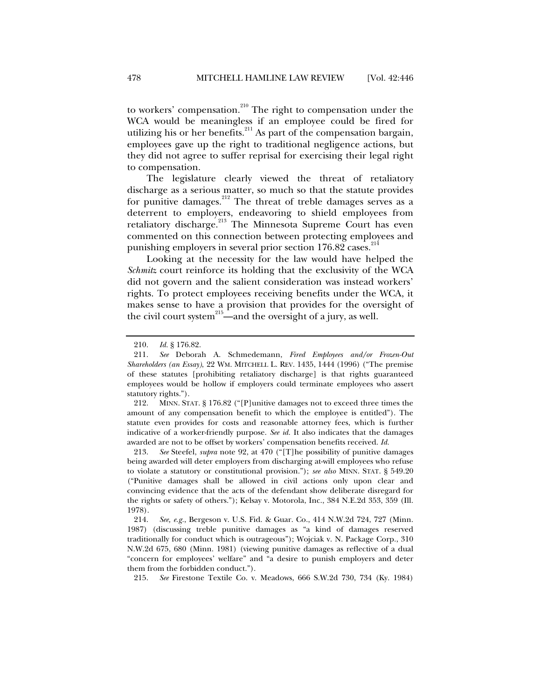to workers' compensation.<sup>210</sup> The right to compensation under the WCA would be meaningless if an employee could be fired for utilizing his or her benefits.<sup>211</sup> As part of the compensation bargain, employees gave up the right to traditional negligence actions, but they did not agree to suffer reprisal for exercising their legal right to compensation.

The legislature clearly viewed the threat of retaliatory discharge as a serious matter, so much so that the statute provides for punitive damages.<sup>212</sup> The threat of treble damages serves as a deterrent to employers, endeavoring to shield employees from retaliatory discharge.<sup>213</sup> The Minnesota Supreme Court has even commented on this connection between protecting employees and punishing employers in several prior section 176.82 cases.<sup>214</sup>

Looking at the necessity for the law would have helped the *Schmitz* court reinforce its holding that the exclusivity of the WCA did not govern and the salient consideration was instead workers' rights. To protect employees receiving benefits under the WCA, it makes sense to have a provision that provides for the oversight of the civil court system $^{215}$ —and the oversight of a jury, as well.

 212. MINN. STAT. § 176.82 ("[P]unitive damages not to exceed three times the amount of any compensation benefit to which the employee is entitled"). The statute even provides for costs and reasonable attorney fees, which is further indicative of a worker-friendly purpose. *See id.* It also indicates that the damages awarded are not to be offset by workers' compensation benefits received. *Id.* 

 213. *See* Steefel, *supra* note 92, at 470 ("[T]he possibility of punitive damages being awarded will deter employers from discharging at-will employees who refuse to violate a statutory or constitutional provision."); *see also* MINN. STAT. § 549.20 ("Punitive damages shall be allowed in civil actions only upon clear and convincing evidence that the acts of the defendant show deliberate disregard for the rights or safety of others."); Kelsay v. Motorola, Inc., 384 N.E.2d 353, 359 (Ill. 1978).

 214. *See, e.g.*, Bergeson v. U.S. Fid. & Guar. Co., 414 N.W.2d 724, 727 (Minn. 1987) (discussing treble punitive damages as "a kind of damages reserved traditionally for conduct which is outrageous"); Wojciak v. N. Package Corp., 310 N.W.2d 675, 680 (Minn. 1981) (viewing punitive damages as reflective of a dual "concern for employees' welfare" and "a desire to punish employers and deter them from the forbidden conduct.").

215. *See* Firestone Textile Co. v. Meadows, 666 S.W.2d 730, 734 (Ky. 1984)

 <sup>210.</sup> *Id.* § 176.82.

 <sup>211.</sup> *See* Deborah A. Schmedemann, *Fired Employees and/or Frozen-Out Shareholders (an Essay)*, 22 WM. MITCHELL L. REV. 1435, 1444 (1996) ("The premise of these statutes [prohibiting retaliatory discharge] is that rights guaranteed employees would be hollow if employers could terminate employees who assert statutory rights.").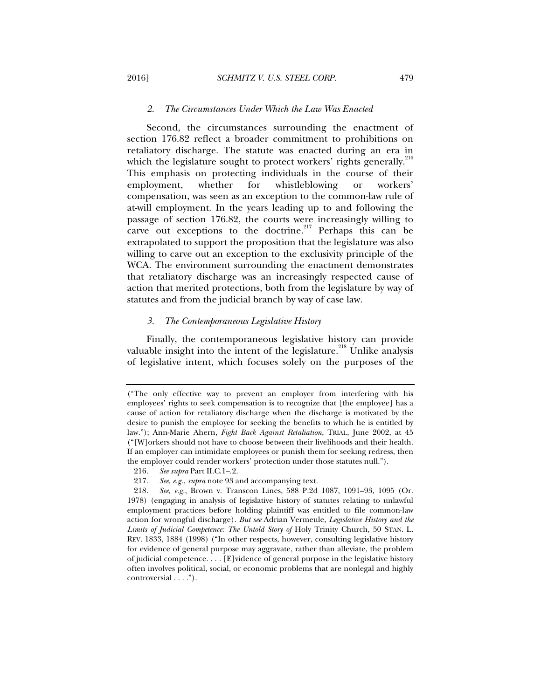#### *2. The Circumstances Under Which the Law Was Enacted*

Second, the circumstances surrounding the enactment of section 176.82 reflect a broader commitment to prohibitions on retaliatory discharge. The statute was enacted during an era in which the legislature sought to protect workers' rights generally. $^{216}$ This emphasis on protecting individuals in the course of their employment, whether for whistleblowing or workers' compensation, was seen as an exception to the common-law rule of at-will employment. In the years leading up to and following the passage of section 176.82, the courts were increasingly willing to carve out exceptions to the doctrine.<sup>217</sup> Perhaps this can be extrapolated to support the proposition that the legislature was also willing to carve out an exception to the exclusivity principle of the WCA. The environment surrounding the enactment demonstrates that retaliatory discharge was an increasingly respected cause of action that merited protections, both from the legislature by way of statutes and from the judicial branch by way of case law.

## *3. The Contemporaneous Legislative History*

Finally, the contemporaneous legislative history can provide valuable insight into the intent of the legislature.<sup>218</sup> Unlike analysis of legislative intent, which focuses solely on the purposes of the

<sup>(&</sup>quot;The only effective way to prevent an employer from interfering with his employees' rights to seek compensation is to recognize that [the employee] has a cause of action for retaliatory discharge when the discharge is motivated by the desire to punish the employee for seeking the benefits to which he is entitled by law."); Ann-Marie Ahern, *Fight Back Against Retaliation*, TRIAL, June 2002, at 45 ("[W]orkers should not have to choose between their livelihoods and their health. If an employer can intimidate employees or punish them for seeking redress, then the employer could render workers' protection under those statutes null.").

 <sup>216.</sup> *See supra* Part II.C.1–.2.

 <sup>217.</sup> *See, e.g.*, *supra* note 93 and accompanying text.

 <sup>218.</sup> *See, e.g.*, Brown v. Transcon Lines, 588 P.2d 1087, 1091–93, 1095 (Or. 1978) (engaging in analysis of legislative history of statutes relating to unlawful employment practices before holding plaintiff was entitled to file common-law action for wrongful discharge). *But see* Adrian Vermeule, *Legislative History and the Limits of Judicial Competence: The Untold Story of* Holy Trinity Church, 50 STAN. L. REV. 1833, 1884 (1998) ("In other respects, however, consulting legislative history for evidence of general purpose may aggravate, rather than alleviate, the problem of judicial competence. . . . [E]vidence of general purpose in the legislative history often involves political, social, or economic problems that are nonlegal and highly controversial . . . .").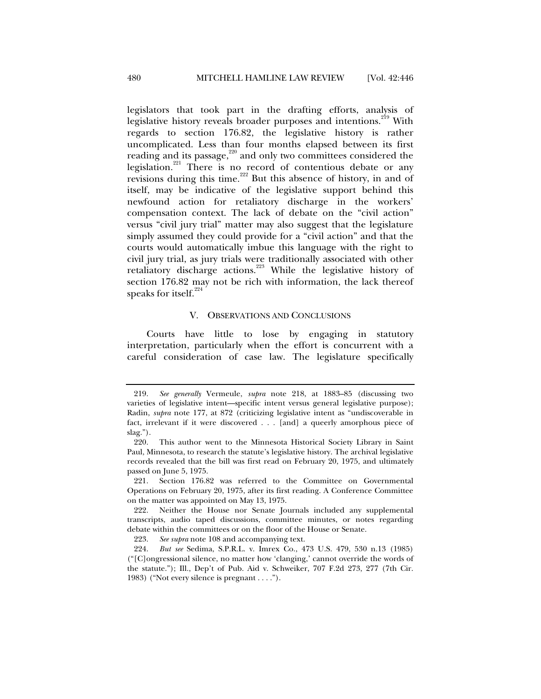legislators that took part in the drafting efforts, analysis of legislative history reveals broader purposes and intentions.<sup>219</sup> With regards to section 176.82, the legislative history is rather uncomplicated. Less than four months elapsed between its first reading and its passage,<sup>220</sup> and only two committees considered the legislation.<sup>221</sup> There is no record of contentious debate or any revisions during this time.<sup>222</sup> But this absence of history, in and of itself, may be indicative of the legislative support behind this newfound action for retaliatory discharge in the workers' compensation context. The lack of debate on the "civil action" versus "civil jury trial" matter may also suggest that the legislature simply assumed they could provide for a "civil action" and that the courts would automatically imbue this language with the right to civil jury trial, as jury trials were traditionally associated with other retaliatory discharge actions.<sup>223</sup> While the legislative history of section 176.82 may not be rich with information, the lack thereof speaks for itself. $224$ 

## V. OBSERVATIONS AND CONCLUSIONS

Courts have little to lose by engaging in statutory interpretation, particularly when the effort is concurrent with a careful consideration of case law. The legislature specifically

 <sup>219.</sup> *See generally* Vermeule, *supra* note 218, at 1883–85 (discussing two varieties of legislative intent—specific intent versus general legislative purpose); Radin, *supra* note 177, at 872 (criticizing legislative intent as "undiscoverable in fact, irrelevant if it were discovered . . . [and] a queerly amorphous piece of slag.").

 <sup>220.</sup> This author went to the Minnesota Historical Society Library in Saint Paul, Minnesota, to research the statute's legislative history. The archival legislative records revealed that the bill was first read on February 20, 1975, and ultimately passed on June 5, 1975.

 <sup>221.</sup> Section 176.82 was referred to the Committee on Governmental Operations on February 20, 1975, after its first reading. A Conference Committee on the matter was appointed on May 13, 1975.

 <sup>222.</sup> Neither the House nor Senate Journals included any supplemental transcripts, audio taped discussions, committee minutes, or notes regarding debate within the committees or on the floor of the House or Senate.

 <sup>223.</sup> *See supra* note 108 and accompanying text.

 <sup>224.</sup> *But see* Sedima, S.P.R.L. v. Imrex Co., 473 U.S. 479, 530 n.13 (1985) ("[C]ongressional silence, no matter how 'clanging,' cannot override the words of the statute."); Ill., Dep't of Pub. Aid v. Schweiker, 707 F.2d 273, 277 (7th Cir. 1983) ("Not every silence is pregnant . . . .").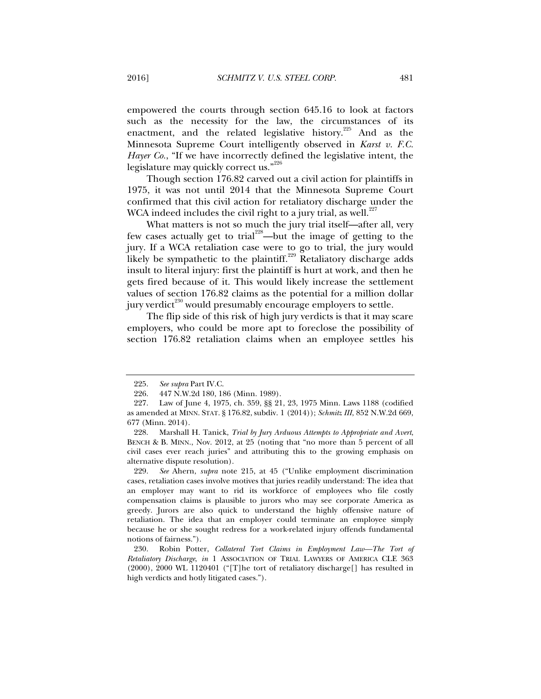empowered the courts through section 645.16 to look at factors such as the necessity for the law, the circumstances of its enactment, and the related legislative history.<sup>225</sup> And as the Minnesota Supreme Court intelligently observed in *Karst v. F.C. Hayer Co.*, "If we have incorrectly defined the legislative intent, the legislature may quickly correct us."<sup>226</sup>

Though section 176.82 carved out a civil action for plaintiffs in 1975, it was not until 2014 that the Minnesota Supreme Court confirmed that this civil action for retaliatory discharge under the WCA indeed includes the civil right to a jury trial, as well. $227$ 

What matters is not so much the jury trial itself—after all, very few cases actually get to trial<sup>228</sup>—but the image of getting to the jury. If a WCA retaliation case were to go to trial, the jury would likely be sympathetic to the plaintiff.<sup>229</sup> Retaliatory discharge adds insult to literal injury: first the plaintiff is hurt at work, and then he gets fired because of it. This would likely increase the settlement values of section 176.82 claims as the potential for a million dollar jury verdict $230$  would presumably encourage employers to settle.

The flip side of this risk of high jury verdicts is that it may scare employers, who could be more apt to foreclose the possibility of section 176.82 retaliation claims when an employee settles his

 <sup>225.</sup> *See supra* Part IV.C.

 <sup>226. 447</sup> N.W.2d 180, 186 (Minn. 1989).

 <sup>227.</sup> Law of June 4, 1975, ch. 359, §§ 21, 23, 1975 Minn. Laws 1188 (codified as amended at MINN. STAT. § 176.82, subdiv. 1 (2014)); *Schmitz III*, 852 N.W.2d 669, 677 (Minn. 2014).

 <sup>228.</sup> Marshall H. Tanick, *Trial by Jury Arduous Attempts to Appropriate and Avert*, BENCH & B. MINN., Nov. 2012, at 25 (noting that "no more than 5 percent of all civil cases ever reach juries" and attributing this to the growing emphasis on alternative dispute resolution).

 <sup>229.</sup> *See* Ahern, *supra* note 215, at 45 ("Unlike employment discrimination cases, retaliation cases involve motives that juries readily understand: The idea that an employer may want to rid its workforce of employees who file costly compensation claims is plausible to jurors who may see corporate America as greedy. Jurors are also quick to understand the highly offensive nature of retaliation. The idea that an employer could terminate an employee simply because he or she sought redress for a work-related injury offends fundamental notions of fairness.").

 <sup>230.</sup> Robin Potter, *Collateral Tort Claims in Employment Law—The Tort of Retaliatory Discharge*, *in* 1 ASSOCIATION OF TRIAL LAWYERS OF AMERICA CLE 363 (2000), 2000 WL 1120401 ("[T]he tort of retaliatory discharge[] has resulted in high verdicts and hotly litigated cases.").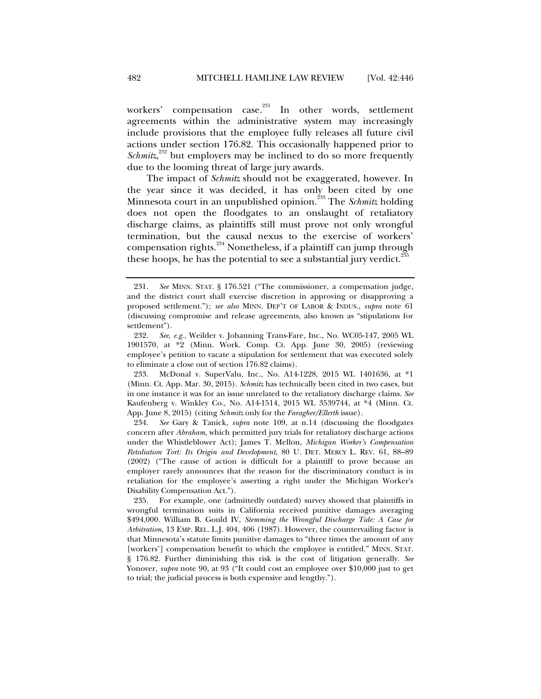workers' compensation case.<sup>231</sup> In other words, settlement agreements within the administrative system may increasingly include provisions that the employee fully releases all future civil actions under section 176.82. This occasionally happened prior to *Schmitz*,<sup>232</sup> but employers may be inclined to do so more frequently due to the looming threat of large jury awards.

The impact of *Schmitz* should not be exaggerated, however. In the year since it was decided, it has only been cited by one Minnesota court in an unpublished opinion.<sup>233</sup> The *Schmitz* holding does not open the floodgates to an onslaught of retaliatory discharge claims, as plaintiffs still must prove not only wrongful termination, but the causal nexus to the exercise of workers' compensation rights.<sup>234</sup> Nonetheless, if a plaintiff can jump through these hoops, he has the potential to see a substantial jury verdict. $\overline{a}$ 

 <sup>231.</sup> *See* MINN. STAT. § 176.521 ("The commissioner, a compensation judge, and the district court shall exercise discretion in approving or disapproving a proposed settlement."); *see also* MINN. DEP'T OF LABOR & INDUS., *supra* note 61 (discussing compromise and release agreements, also known as "stipulations for settlement").

 <sup>232.</sup> *See, e.g.*, Weilder v. Johanning Trans-Fare, Inc., No. WC05-147, 2005 WL 1901570, at \*2 (Minn. Work. Comp. Ct. App. June 30, 2005) (reviewing employee's petition to vacate a stipulation for settlement that was executed solely to eliminate a close out of section 176.82 claims).

 <sup>233.</sup> McDonal v. SuperValu, Inc., No. A14-1228, 2015 WL 1401636, at \*1 (Minn. Ct. App. Mar. 30, 2015). *Schmitz* has technically been cited in two cases, but in one instance it was for an issue unrelated to the retaliatory discharge claims. *See*  Kaufenberg v. Winkley Co., No. A14-1514, 2015 WL 3539744, at \*4 (Minn. Ct. App. June 8, 2015) (citing *Schmitz* only for the *Faragher/Ellerth* issue).

 <sup>234.</sup> *See* Gary & Tanick, *supra* note 109, at n.14 (discussing the floodgates concern after *Abraham*, which permitted jury trials for retaliatory discharge actions under the Whistleblower Act); James T. Mellon, *Michigan Worker's Compensation Retaliation Tort: Its Origin and Development*, 80 U. DET. MERCY L. REV. 61, 88–89 (2002) ("The cause of action is difficult for a plaintiff to prove because an employer rarely announces that the reason for the discriminatory conduct is in retaliation for the employee's asserting a right under the Michigan Worker's Disability Compensation Act.").

 <sup>235.</sup> For example, one (admittedly outdated) survey showed that plaintiffs in wrongful termination suits in California received punitive damages averaging \$494,000. William B. Gould IV, *Stemming the Wrongful Discharge Tide: A Case for Arbitration*, 13 EMP. REL. L.J. 404, 406 (1987). However, the countervailing factor is that Minnesota's statute limits punitive damages to "three times the amount of any [workers'] compensation benefit to which the employee is entitled." MINN. STAT. § 176.82. Further diminishing this risk is the cost of litigation generally. *See*  Yonover, *supra* note 90, at 93 ("It could cost an employee over \$10,000 just to get to trial; the judicial process is both expensive and lengthy.").